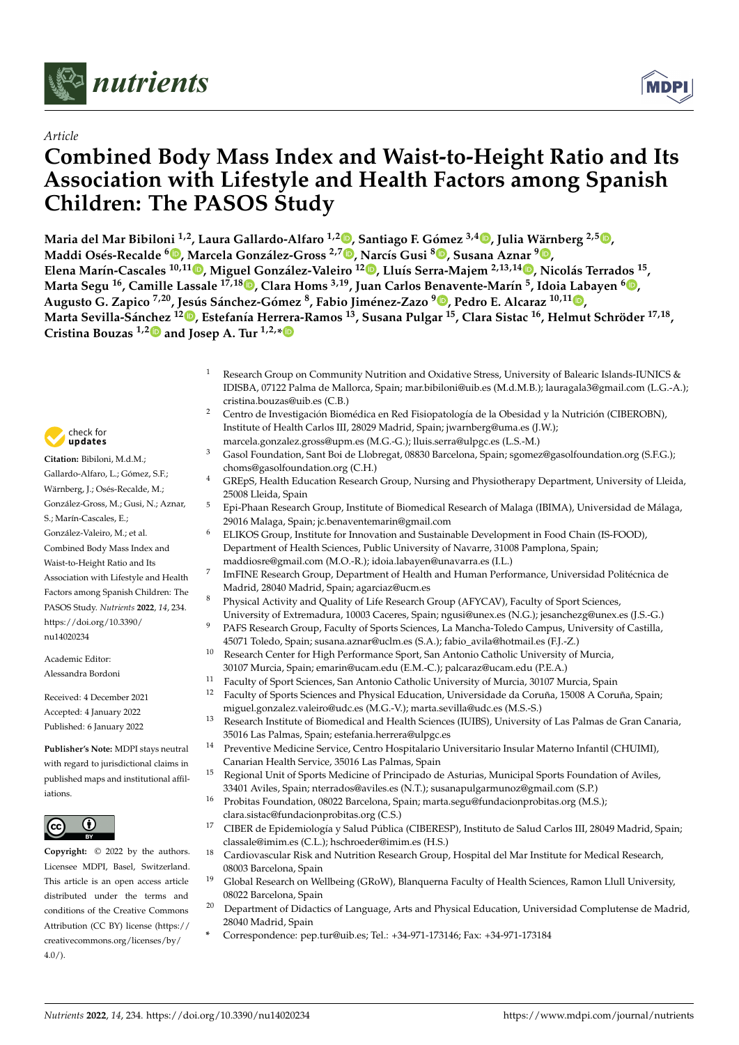

# *Article*

# **Combined Body Mass Index and Waist-to-Height Ratio and Its Association with Lifestyle and Health Factors among Spanish Children: The PASOS Study**

**Maria del Mar Bibiloni 1,2, Laura Gallardo-Alfaro 1,2 [,](https://orcid.org/0000-0002-5769-706X) Santiago F. Gómez 3,4 [,](https://orcid.org/0000-0003-3352-2510) Julia Wärnberg 2,5 [,](https://orcid.org/0000-0002-8408-316X) Maddi Osés-Recalde <sup>6</sup> [,](https://orcid.org/0000-0001-7815-7583) Marcela González-Gross 2,[7](https://orcid.org/0000-0001-7757-3235) , [Nar](https://orcid.org/0000-0002-3993-8069)cís Gusi <sup>8</sup> [,](https://orcid.org/0000-0002-1001-8883) Susana Aznar <sup>9</sup> [,](https://orcid.org/0000-0001-7054-436X)** Elena Marín-Cascales <sup>10[,](https://orcid.org/0000-0002-9658-9061)11</sup>. Miguel González-Valeiro <sup>12</sup>. Lluís Serra-Majem <sup>2,13,14</sup>. Nicolás Terrados <sup>15</sup>, **Marta Segu <sup>16</sup>, Camille Lassale 17,18 [,](https://orcid.org/0000-0002-9340-2708) Clara Homs 3,19, Juan Carlos Benavente-Marín 5 , Idoia Labayen <sup>6</sup> [,](https://orcid.org/0000-0002-4334-3287) Augusto G. Zapico 7,20, Jesús Sánchez-Gómez <sup>8</sup> , Fabio Jiménez-Zazo <sup>9</sup> [,](https://orcid.org/0000-0002-6378-4098) Pedro E. Alcaraz 10,11 [,](https://orcid.org/0000-0002-9792-6656)** Marta Sevilla-Sánchez <sup>1[2](https://orcid.org/0000-0003-2004-9162)</sup>. Estefanía Herrera-Ramos <sup>13</sup>, Susana Pulgar <sup>15</sup>, Clara Sistac <sup>16</sup>, Helmut Schröder <sup>17,18</sup>, **Cristina Bouzas 1,[2](https://orcid.org/0000-0002-1407-8461) and Josep A. Tur 1,2,[\\*](https://orcid.org/0000-0002-6940-0761)**

- Research Group on Community Nutrition and Oxidative Stress, University of Balearic Islands-IUNICS & IDISBA, 07122 Palma de Mallorca, Spain; mar.bibiloni@uib.es (M.d.M.B.); lauragala3@gmail.com (L.G.-A.); cristina.bouzas@uib.es (C.B.)
- <sup>2</sup> Centro de Investigación Biomédica en Red Fisiopatología de la Obesidad y la Nutrición (CIBEROBN), Institute of Health Carlos III, 28029 Madrid, Spain; jwarnberg@uma.es (J.W.);
- marcela.gonzalez.gross@upm.es (M.G.-G.); lluis.serra@ulpgc.es (L.S.-M.)
- Gasol Foundation, Sant Boi de Llobregat, 08830 Barcelona, Spain; sgomez@gasolfoundation.org (S.F.G.); choms@gasolfoundation.org (C.H.)
- <sup>4</sup> GREpS, Health Education Research Group, Nursing and Physiotherapy Department, University of Lleida, 25008 Lleida, Spain
- <sup>5</sup> Epi-Phaan Research Group, Institute of Biomedical Research of Malaga (IBIMA), Universidad de Málaga, 29016 Malaga, Spain; jc.benaventemarin@gmail.com
- <sup>6</sup> ELIKOS Group, Institute for Innovation and Sustainable Development in Food Chain (IS-FOOD), Department of Health Sciences, Public University of Navarre, 31008 Pamplona, Spain; maddiosre@gmail.com (M.O.-R.); idoia.labayen@unavarra.es (I.L.)
- ImFINE Research Group, Department of Health and Human Performance, Universidad Politécnica de Madrid, 28040 Madrid, Spain; agarciaz@ucm.es
- Physical Activity and Quality of Life Research Group (AFYCAV), Faculty of Sport Sciences, University of Extremadura, 10003 Caceres, Spain; ngusi@unex.es (N.G.); jesanchezg@unex.es (J.S.-G.)
- <sup>9</sup> PAFS Research Group, Faculty of Sports Sciences, La Mancha-Toledo Campus, University of Castilla, 45071 Toledo, Spain; susana.aznar@uclm.es (S.A.); fabio\_avila@hotmail.es (F.J.-Z.)
- <sup>10</sup> Research Center for High Performance Sport, San Antonio Catholic University of Murcia, 30107 Murcia, Spain; emarin@ucam.edu (E.M.-C.); palcaraz@ucam.edu (P.E.A.)
- <sup>11</sup> Faculty of Sport Sciences, San Antonio Catholic University of Murcia, 30107 Murcia, Spain
- <sup>12</sup> Faculty of Sports Sciences and Physical Education, Universidade da Coruña, 15008 A Coruña, Spain; miguel.gonzalez.valeiro@udc.es (M.G.-V.); marta.sevilla@udc.es (M.S.-S.)
- <sup>13</sup> Research Institute of Biomedical and Health Sciences (IUIBS), University of Las Palmas de Gran Canaria, 35016 Las Palmas, Spain; estefania.herrera@ulpgc.es
- <sup>14</sup> Preventive Medicine Service, Centro Hospitalario Universitario Insular Materno Infantil (CHUIMI), Canarian Health Service, 35016 Las Palmas, Spain
- Regional Unit of Sports Medicine of Principado de Asturias, Municipal Sports Foundation of Aviles, 33401 Aviles, Spain; nterrados@aviles.es (N.T.); susanapulgarmunoz@gmail.com (S.P.)
- <sup>16</sup> Probitas Foundation, 08022 Barcelona, Spain; marta.segu@fundacionprobitas.org (M.S.); clara.sistac@fundacionprobitas.org (C.S.)
- <sup>17</sup> CIBER de Epidemiología y Salud Pública (CIBERESP), Instituto de Salud Carlos III, 28049 Madrid, Spain; classale@imim.es (C.L.); hschroeder@imim.es (H.S.)
- <sup>18</sup> Cardiovascular Risk and Nutrition Research Group, Hospital del Mar Institute for Medical Research, 08003 Barcelona, Spain
- <sup>19</sup> Global Research on Wellbeing (GRoW), Blanquerna Faculty of Health Sciences, Ramon Llull University, 08022 Barcelona, Spain
- <sup>20</sup> Department of Didactics of Language, Arts and Physical Education, Universidad Complutense de Madrid, 28040 Madrid, Spain
	- **\*** Correspondence: pep.tur@uib.es; Tel.: +34-971-173146; Fax: +34-971-173184



**Citation:** Bibiloni, M.d.M.; Gallardo-Alfaro, L.; Gómez, S.F.; Wärnberg, J.; Osés-Recalde, M.; González-Gross, M.; Gusi, N.; Aznar, S.; Marín-Cascales, E.; González-Valeiro, M.; et al. Combined Body Mass Index and Waist-to-Height Ratio and Its Association with Lifestyle and Health Factors among Spanish Children: The PASOS Study. *Nutrients* **2022**, *14*, 234. [https://doi.org/10.3390/](https://doi.org/10.3390/nu14020234) [nu14020234](https://doi.org/10.3390/nu14020234)

7

Academic Editor: Alessandra Bordoni

Received: 4 December 2021 Accepted: 4 January 2022 Published: 6 January 2022

**Publisher's Note:** MDPI stays neutral with regard to jurisdictional claims in published maps and institutional affiliations.



**Copyright:** © 2022 by the authors. Licensee MDPI, Basel, Switzerland. This article is an open access article distributed under the terms and conditions of the Creative Commons Attribution (CC BY) license [\(https://](https://creativecommons.org/licenses/by/4.0/) [creativecommons.org/licenses/by/](https://creativecommons.org/licenses/by/4.0/) 4.0/).

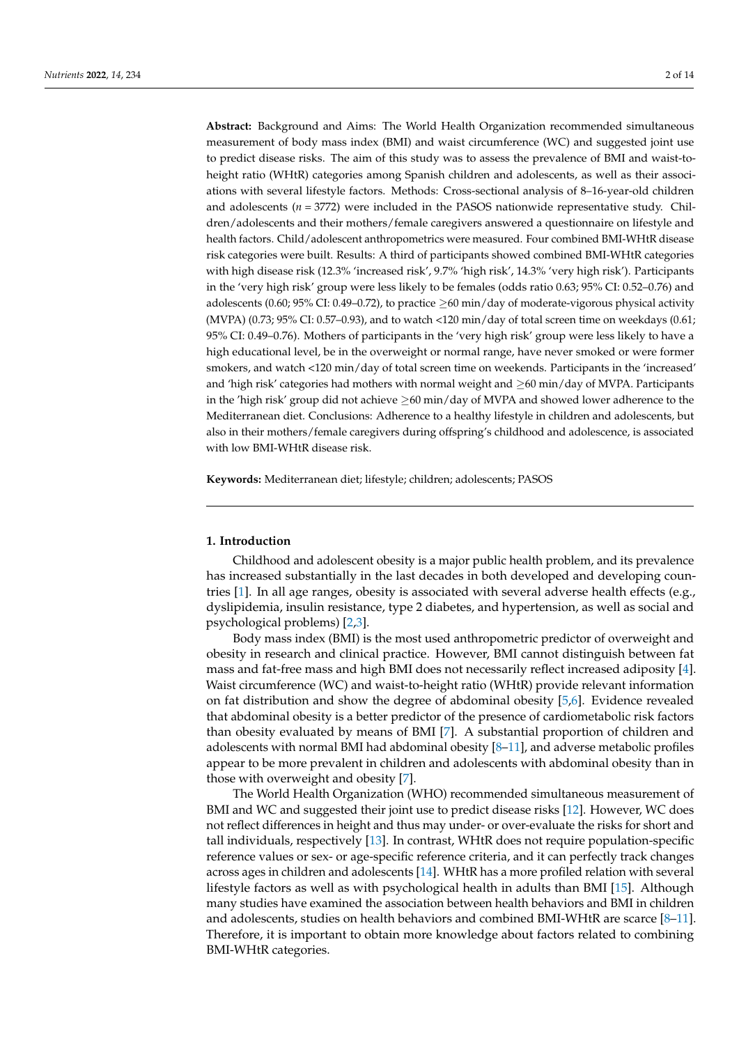**Abstract:** Background and Aims: The World Health Organization recommended simultaneous measurement of body mass index (BMI) and waist circumference (WC) and suggested joint use to predict disease risks. The aim of this study was to assess the prevalence of BMI and waist-toheight ratio (WHtR) categories among Spanish children and adolescents, as well as their associations with several lifestyle factors. Methods: Cross-sectional analysis of 8–16-year-old children and adolescents (*n* = 3772) were included in the PASOS nationwide representative study. Children/adolescents and their mothers/female caregivers answered a questionnaire on lifestyle and health factors. Child/adolescent anthropometrics were measured. Four combined BMI-WHtR disease risk categories were built. Results: A third of participants showed combined BMI-WHtR categories with high disease risk (12.3% 'increased risk', 9.7% 'high risk', 14.3% 'very high risk'). Participants in the 'very high risk' group were less likely to be females (odds ratio 0.63; 95% CI: 0.52–0.76) and adolescents (0.60; 95% CI: 0.49–0.72), to practice  $\geq$  60 min/day of moderate-vigorous physical activity (MVPA) (0.73; 95% CI: 0.57–0.93), and to watch <120 min/day of total screen time on weekdays (0.61; 95% CI: 0.49–0.76). Mothers of participants in the 'very high risk' group were less likely to have a high educational level, be in the overweight or normal range, have never smoked or were former smokers, and watch <120 min/day of total screen time on weekends. Participants in the 'increased' and 'high risk' categories had mothers with normal weight and ≥60 min/day of MVPA. Participants in the 'high risk' group did not achieve  $\geq 60$  min/day of MVPA and showed lower adherence to the Mediterranean diet. Conclusions: Adherence to a healthy lifestyle in children and adolescents, but also in their mothers/female caregivers during offspring's childhood and adolescence, is associated with low BMI-WHtR disease risk.

**Keywords:** Mediterranean diet; lifestyle; children; adolescents; PASOS

# **1. Introduction**

Childhood and adolescent obesity is a major public health problem, and its prevalence has increased substantially in the last decades in both developed and developing countries [\[1\]](#page-11-0). In all age ranges, obesity is associated with several adverse health effects (e.g., dyslipidemia, insulin resistance, type 2 diabetes, and hypertension, as well as social and psychological problems) [\[2,](#page-11-1)[3\]](#page-11-2).

Body mass index (BMI) is the most used anthropometric predictor of overweight and obesity in research and clinical practice. However, BMI cannot distinguish between fat mass and fat-free mass and high BMI does not necessarily reflect increased adiposity [\[4\]](#page-11-3). Waist circumference (WC) and waist-to-height ratio (WHtR) provide relevant information on fat distribution and show the degree of abdominal obesity [\[5,](#page-12-0)[6\]](#page-12-1). Evidence revealed that abdominal obesity is a better predictor of the presence of cardiometabolic risk factors than obesity evaluated by means of BMI [\[7\]](#page-12-2). A substantial proportion of children and adolescents with normal BMI had abdominal obesity  $[8-11]$  $[8-11]$ , and adverse metabolic profiles appear to be more prevalent in children and adolescents with abdominal obesity than in those with overweight and obesity [\[7\]](#page-12-2).

The World Health Organization (WHO) recommended simultaneous measurement of BMI and WC and suggested their joint use to predict disease risks [\[12\]](#page-12-5). However, WC does not reflect differences in height and thus may under- or over-evaluate the risks for short and tall individuals, respectively [\[13\]](#page-12-6). In contrast, WHtR does not require population-specific reference values or sex- or age-specific reference criteria, and it can perfectly track changes across ages in children and adolescents [\[14\]](#page-12-7). WHtR has a more profiled relation with several lifestyle factors as well as with psychological health in adults than BMI [\[15\]](#page-12-8). Although many studies have examined the association between health behaviors and BMI in children and adolescents, studies on health behaviors and combined BMI-WHtR are scarce [\[8](#page-12-3)[–11\]](#page-12-4). Therefore, it is important to obtain more knowledge about factors related to combining BMI-WHtR categories.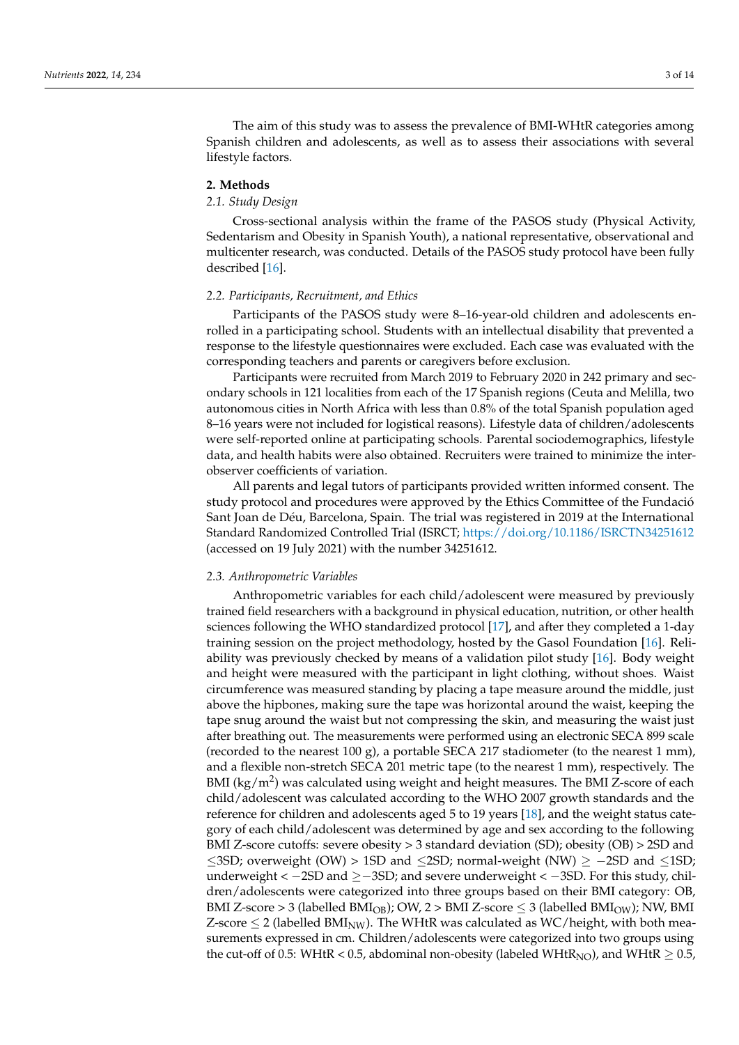The aim of this study was to assess the prevalence of BMI-WHtR categories among Spanish children and adolescents, as well as to assess their associations with several lifestyle factors.

# **2. Methods**

## *2.1. Study Design*

Cross-sectional analysis within the frame of the PASOS study (Physical Activity, Sedentarism and Obesity in Spanish Youth), a national representative, observational and multicenter research, was conducted. Details of the PASOS study protocol have been fully described [\[16\]](#page-12-9).

#### *2.2. Participants, Recruitment, and Ethics*

Participants of the PASOS study were 8–16-year-old children and adolescents enrolled in a participating school. Students with an intellectual disability that prevented a response to the lifestyle questionnaires were excluded. Each case was evaluated with the corresponding teachers and parents or caregivers before exclusion.

Participants were recruited from March 2019 to February 2020 in 242 primary and secondary schools in 121 localities from each of the 17 Spanish regions (Ceuta and Melilla, two autonomous cities in North Africa with less than 0.8% of the total Spanish population aged 8–16 years were not included for logistical reasons). Lifestyle data of children/adolescents were self-reported online at participating schools. Parental sociodemographics, lifestyle data, and health habits were also obtained. Recruiters were trained to minimize the interobserver coefficients of variation.

All parents and legal tutors of participants provided written informed consent. The study protocol and procedures were approved by the Ethics Committee of the Fundació Sant Joan de Déu, Barcelona, Spain. The trial was registered in 2019 at the International Standard Randomized Controlled Trial (ISRCT; <https://doi.org/10.1186/ISRCTN34251612> (accessed on 19 July 2021) with the number 34251612.

## *2.3. Anthropometric Variables*

Anthropometric variables for each child/adolescent were measured by previously trained field researchers with a background in physical education, nutrition, or other health sciences following the WHO standardized protocol [\[17\]](#page-12-10), and after they completed a 1-day training session on the project methodology, hosted by the Gasol Foundation [\[16\]](#page-12-9). Reliability was previously checked by means of a validation pilot study [\[16\]](#page-12-9). Body weight and height were measured with the participant in light clothing, without shoes. Waist circumference was measured standing by placing a tape measure around the middle, just above the hipbones, making sure the tape was horizontal around the waist, keeping the tape snug around the waist but not compressing the skin, and measuring the waist just after breathing out. The measurements were performed using an electronic SECA 899 scale (recorded to the nearest 100 g), a portable SECA 217 stadiometer (to the nearest 1 mm), and a flexible non-stretch SECA 201 metric tape (to the nearest 1 mm), respectively. The BMI (kg/m<sup>2</sup>) was calculated using weight and height measures. The BMI Z-score of each child/adolescent was calculated according to the WHO 2007 growth standards and the reference for children and adolescents aged 5 to 19 years [\[18\]](#page-12-11), and the weight status category of each child/adolescent was determined by age and sex according to the following BMI Z-score cutoffs: severe obesity > 3 standard deviation (SD); obesity (OB) > 2SD and ≤3SD; overweight (OW) > 1SD and ≤2SD; normal-weight (NW) ≥  $-2SD$  and ≤1SD; underweight <  $-2SD$  and  $\geq -3SD$ ; and severe underweight <  $-3SD$ . For this study, children/adolescents were categorized into three groups based on their BMI category: OB, BMI Z-score > 3 (labelled BMI<sub>OB</sub>); OW, 2 > BMI Z-score  $\leq$  3 (labelled BMI<sub>OW</sub>); NW, BMI Z-score  $\leq$  2 (labelled BMI<sub>NW</sub>). The WHtR was calculated as WC/height, with both measurements expressed in cm. Children/adolescents were categorized into two groups using the cut-off of 0.5: WHtR < 0.5, abdominal non-obesity (labeled WHtR<sub>NO</sub>), and WHtR  $\geq$  0.5,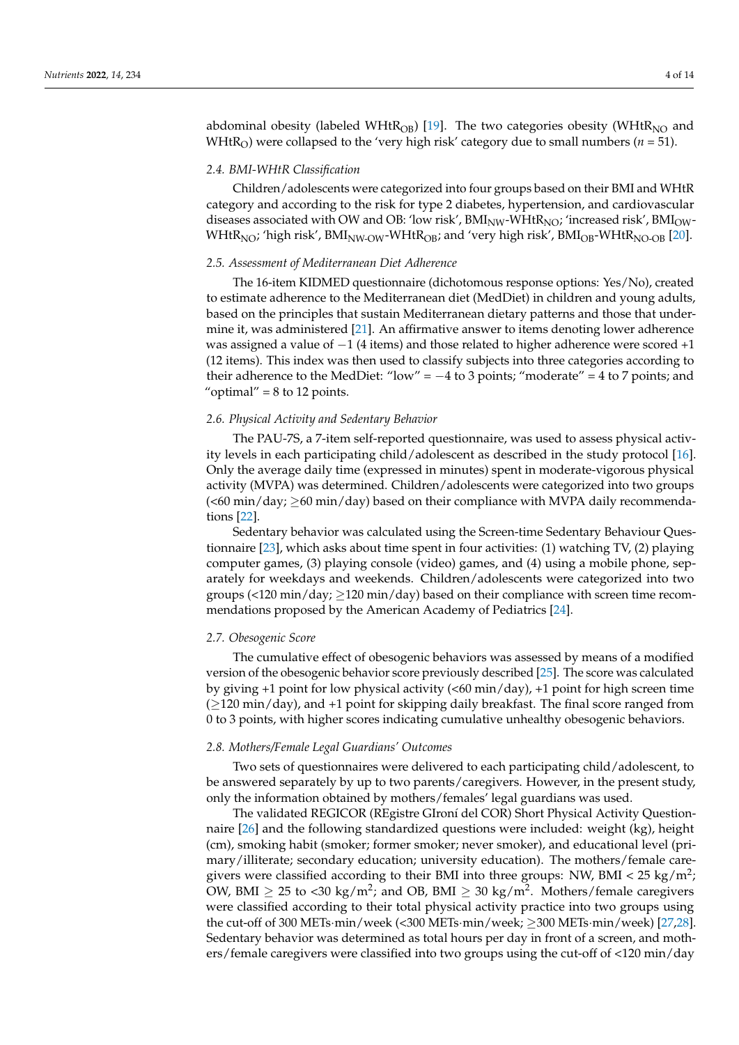abdominal obesity (labeled WHt $R_{OB}$ ) [\[19\]](#page-12-12). The two categories obesity (WHt $R_{NO}$  and WHtR<sub>O</sub>) were collapsed to the 'very high risk' category due to small numbers ( $n = 51$ ).

# *2.4. BMI-WHtR Classification*

Children/adolescents were categorized into four groups based on their BMI and WHtR category and according to the risk for type 2 diabetes, hypertension, and cardiovascular diseases associated with OW and OB: 'low risk',  $BMI_{NW}$ -WHt $R_{NO}$ ; 'increased risk',  $BMI_{OW}$ -WHtR<sub>NO</sub>; 'high risk', BMI<sub>NW-OW</sub>-WHtR<sub>OB</sub>; and 'very high risk', BMI<sub>OB</sub>-WHtR<sub>NO-OB</sub> [\[20\]](#page-12-13).

#### *2.5. Assessment of Mediterranean Diet Adherence*

The 16-item KIDMED questionnaire (dichotomous response options: Yes/No), created to estimate adherence to the Mediterranean diet (MedDiet) in children and young adults, based on the principles that sustain Mediterranean dietary patterns and those that undermine it, was administered [\[21\]](#page-12-14). An affirmative answer to items denoting lower adherence was assigned a value of  $-1$  (4 items) and those related to higher adherence were scored +1 (12 items). This index was then used to classify subjects into three categories according to their adherence to the MedDiet: "low" =  $-4$  to 3 points; "moderate" = 4 to 7 points; and " $optimal" = 8$  to 12 points.

# *2.6. Physical Activity and Sedentary Behavior*

The PAU-7S, a 7-item self-reported questionnaire, was used to assess physical activity levels in each participating child/adolescent as described in the study protocol [\[16\]](#page-12-9). Only the average daily time (expressed in minutes) spent in moderate-vigorous physical activity (MVPA) was determined. Children/adolescents were categorized into two groups  $(<$ 60 min/day;  $\ge$ 60 min/day) based on their compliance with MVPA daily recommendations [\[22\]](#page-12-15).

Sedentary behavior was calculated using the Screen-time Sedentary Behaviour Questionnaire [\[23\]](#page-12-16), which asks about time spent in four activities: (1) watching TV, (2) playing computer games, (3) playing console (video) games, and (4) using a mobile phone, separately for weekdays and weekends. Children/adolescents were categorized into two groups (<120 min/day;  $\geq$ 120 min/day) based on their compliance with screen time recommendations proposed by the American Academy of Pediatrics [\[24\]](#page-12-17).

#### *2.7. Obesogenic Score*

The cumulative effect of obesogenic behaviors was assessed by means of a modified version of the obesogenic behavior score previously described [\[25\]](#page-12-18). The score was calculated by giving  $+1$  point for low physical activity ( $\langle 60 \text{ min}/\text{day} \rangle$ ,  $+1$  point for high screen time (≥120 min/day), and +1 point for skipping daily breakfast. The final score ranged from 0 to 3 points, with higher scores indicating cumulative unhealthy obesogenic behaviors.

#### *2.8. Mothers/Female Legal Guardians' Outcomes*

Two sets of questionnaires were delivered to each participating child/adolescent, to be answered separately by up to two parents/caregivers. However, in the present study, only the information obtained by mothers/females' legal guardians was used.

The validated REGICOR (REgistre GIroní del COR) Short Physical Activity Questionnaire [\[26\]](#page-12-19) and the following standardized questions were included: weight (kg), height (cm), smoking habit (smoker; former smoker; never smoker), and educational level (primary/illiterate; secondary education; university education). The mothers/female caregivers were classified according to their BMI into three groups: NW, BMI < 25 kg/m<sup>2</sup>; OW, BMI  $\geq$  25 to <30 kg/m<sup>2</sup>; and OB, BMI  $\geq$  30 kg/m<sup>2</sup>. Mothers/female caregivers were classified according to their total physical activity practice into two groups using the cut-off of 300 METs·min/week (<300 METs·min/week; ≥300 METs·min/week) [\[27](#page-12-20)[,28\]](#page-12-21). Sedentary behavior was determined as total hours per day in front of a screen, and mothers/female caregivers were classified into two groups using the cut-off of <120 min/day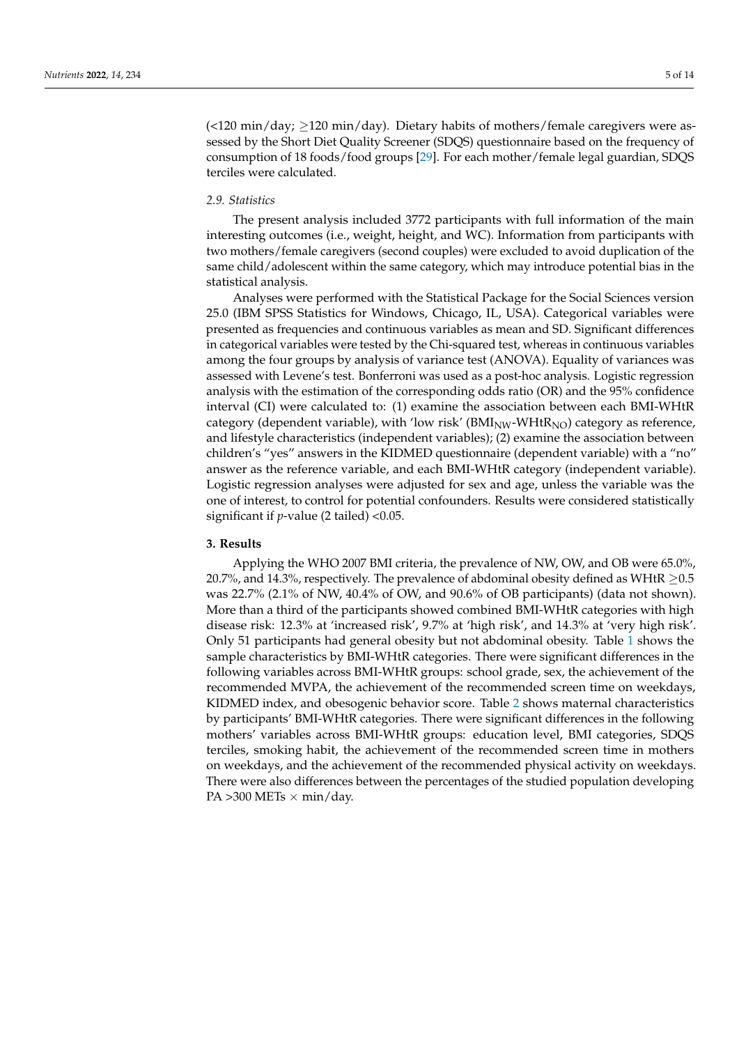$\left($  <120 min/day;  $\geq$ 120 min/day). Dietary habits of mothers/female caregivers were assessed by the Short Diet Quality Screener (SDQS) questionnaire based on the frequency of consumption of 18 foods/food groups [\[29\]](#page-12-22). For each mother/female legal guardian, SDQS terciles were calculated.

# *2.9. Statistics*

The present analysis included 3772 participants with full information of the main interesting outcomes (i.e., weight, height, and WC). Information from participants with two mothers/female caregivers (second couples) were excluded to avoid duplication of the same child/adolescent within the same category, which may introduce potential bias in the statistical analysis.

Analyses were performed with the Statistical Package for the Social Sciences version 25.0 (IBM SPSS Statistics for Windows, Chicago, IL, USA). Categorical variables were presented as frequencies and continuous variables as mean and SD. Significant differences in categorical variables were tested by the Chi-squared test, whereas in continuous variables among the four groups by analysis of variance test (ANOVA). Equality of variances was assessed with Levene's test. Bonferroni was used as a post-hoc analysis. Logistic regression analysis with the estimation of the corresponding odds ratio (OR) and the 95% confidence interval (CI) were calculated to: (1) examine the association between each BMI-WHtR category (dependent variable), with 'low risk' ( $\text{BMI}_{\text{NW}}$ -WHt $\text{R}_{\text{NO}}$ ) category as reference, and lifestyle characteristics (independent variables); (2) examine the association between children's "yes" answers in the KIDMED questionnaire (dependent variable) with a "no" answer as the reference variable, and each BMI-WHtR category (independent variable). Logistic regression analyses were adjusted for sex and age, unless the variable was the one of interest, to control for potential confounders. Results were considered statistically significant if *p*-value (2 tailed) <0.05.

# **3. Results**

Applying the WHO 2007 BMI criteria, the prevalence of NW, OW, and OB were 65.0%, 20.7%, and 14.3%, respectively. The prevalence of abdominal obesity defined as WHtR  $\geq$ 0.5 was 22.7% (2.1% of NW, 40.4% of OW, and 90.6% of OB participants) (data not shown). More than a third of the participants showed combined BMI-WHtR categories with high disease risk: 12.3% at 'increased risk', 9.7% at 'high risk', and 14.3% at 'very high risk'. Only 51 participants had general obesity but not abdominal obesity. Table [1](#page-5-0) shows the sample characteristics by BMI-WHtR categories. There were significant differences in the following variables across BMI-WHtR groups: school grade, sex, the achievement of the recommended MVPA, the achievement of the recommended screen time on weekdays, KIDMED index, and obesogenic behavior score. Table [2](#page-5-1) shows maternal characteristics by participants' BMI-WHtR categories. There were significant differences in the following mothers' variables across BMI-WHtR groups: education level, BMI categories, SDQS terciles, smoking habit, the achievement of the recommended screen time in mothers on weekdays, and the achievement of the recommended physical activity on weekdays. There were also differences between the percentages of the studied population developing PA  $>300$  METs  $\times$  min/day.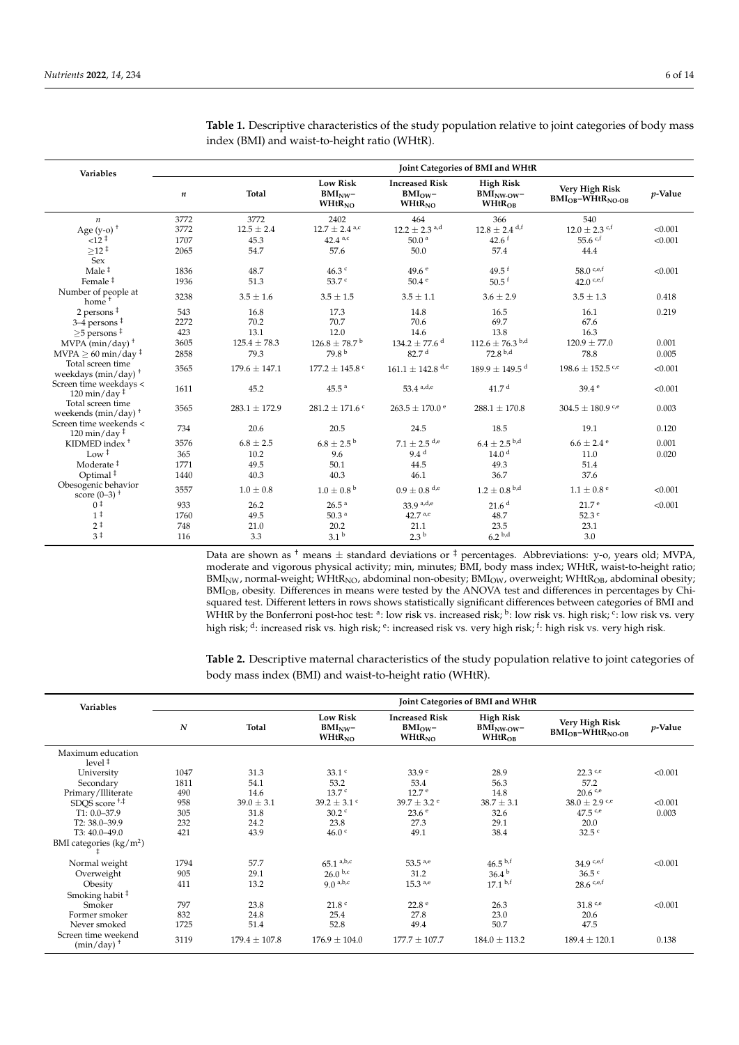| <b>Variables</b>                                                    | Joint Categories of BMI and WHtR |                   |                                                     |                                                           |                                                          |                                             |         |  |
|---------------------------------------------------------------------|----------------------------------|-------------------|-----------------------------------------------------|-----------------------------------------------------------|----------------------------------------------------------|---------------------------------------------|---------|--|
|                                                                     | $\boldsymbol{n}$                 | <b>Total</b>      | <b>Low Risk</b><br>BMI <sub>NW</sub><br>$WHtR_{NO}$ | <b>Increased Risk</b><br>BMI <sub>OW</sub><br>$WHtR_{NO}$ | <b>High Risk</b><br>$BMINW$ $\sim$<br>WHtR <sub>OB</sub> | Very High Risk<br>$BMI_{OB} - WHtR_{NO-OB}$ | p-Value |  |
| $\boldsymbol{n}$                                                    | 3772                             | 3772              | 2402                                                | 464                                                       | 366                                                      | 540                                         |         |  |
| Age $(y-o)^+$                                                       | 3772                             | $12.5 \pm 2.4$    | $12.7 \pm 2.4$ <sup>a,c</sup>                       | $12.2 \pm 2.3$ <sup>a,d</sup>                             | $12.8 \pm 2.4$ d,f                                       | $12.0 \pm 2.3$ c,f                          | < 0.001 |  |
| $12^{+}$                                                            | 1707                             | 45.3              | $42.4^{a,c}$                                        | 50.0 <sup>a</sup>                                         | 42.6 f                                                   | 55.6 $c$ .f                                 | < 0.001 |  |
| $>12$ ‡                                                             | 2065                             | 54.7              | 57.6                                                | 50.0                                                      | 57.4                                                     | 44.4                                        |         |  |
| Sex                                                                 |                                  |                   |                                                     |                                                           |                                                          |                                             |         |  |
| Male $†$                                                            | 1836                             | 48.7              | $46.3$ $\degree$                                    | 49.6 e                                                    | 49.5 $f$                                                 | 58.0 $c,e,f$                                | < 0.001 |  |
| Female <sup>‡</sup>                                                 | 1936                             | 51.3              | 53.7 <sup>c</sup>                                   | 50.4e                                                     | $50.5$ f                                                 | 42.0 c.e.f                                  |         |  |
| Number of people at<br>home <sup>+</sup>                            | 3238                             | $3.5 \pm 1.6$     | $3.5 \pm 1.5$                                       | $3.5 \pm 1.1$                                             | $3.6 \pm 2.9$                                            | $3.5 \pm 1.3$                               | 0.418   |  |
| 2 persons ‡                                                         | 543                              | 16.8              | 17.3                                                | 14.8                                                      | 16.5                                                     | 16.1                                        | 0.219   |  |
| $3-4$ persons $\frac{1}{2}$                                         | 2272                             | 70.2              | 70.7                                                | 70.6                                                      | 69.7                                                     | 67.6                                        |         |  |
| $\geq$ 5 persons <sup>‡</sup>                                       | 423                              | 13.1              | 12.0                                                | 14.6                                                      | 13.8                                                     | 16.3                                        |         |  |
| MVPA $(min/day)$ <sup>+</sup>                                       | 3605                             | $125.4 \pm 78.3$  | $126.8 \pm 78.7^{\mathrm{b}}$                       | $134.2 \pm 77.6$ <sup>d</sup>                             | $112.6 \pm 76.3$ b,d                                     | $120.9 \pm 77.0$                            | 0.001   |  |
| $MVPA \geq 60$ min/day ‡                                            | 2858                             | 79.3              | 79.8 <sup>b</sup>                                   | 82.7 <sup>d</sup>                                         | $72.8^{b,d}$                                             | 78.8                                        | 0.005   |  |
| Total screen time<br>weekdays ( $min/day$ ) <sup>+</sup>            | 3565                             | $179.6 \pm 147.1$ | $177.2 \pm 145.8$ °                                 | $161.1 \pm 142.8$ <sup>d,e</sup>                          | $189.9 \pm 149.5$ <sup>d</sup>                           | $198.6 \pm 152.5$ see                       | < 0.001 |  |
| Screen time weekdays <<br>$120 \text{ min}/\text{day}$ <sup>‡</sup> | 1611                             | 45.2              | 45.5 <sup>a</sup>                                   | $53.4$ a,d,e                                              | 41.7 <sup>d</sup>                                        | 39.4e                                       | < 0.001 |  |
| Total screen time<br>weekends ( $min/day$ ) <sup>+</sup>            | 3565                             | $283.1 \pm 172.9$ | $281.2 \pm 171.6$ <sup>c</sup>                      | $263.5 \pm 170.0$ <sup>e</sup>                            | $288.1 \pm 170.8$                                        | $304.5 \pm 180.9$ c/e                       | 0.003   |  |
| Screen time weekends <<br>$120 \text{ min}/\text{day}$ <sup>‡</sup> | 734                              | 20.6              | 20.5                                                | 24.5                                                      | 18.5                                                     | 19.1                                        | 0.120   |  |
| KIDMED index $+$                                                    | 3576                             | $6.8 \pm 2.5$     | $6.8 \pm 2.5^{\mathrm{b}}$                          | $7.1\pm2.5$ $^{\rm d,e}$                                  | $6.4 \pm 2.5$ b,d                                        | $6.6 \pm 2.4$ <sup>e</sup>                  | 0.001   |  |
| Low $†$                                                             | 365                              | 10.2              | 9.6                                                 | 9.4 <sup>d</sup>                                          | 14.0 <sup>d</sup>                                        | 11.0                                        | 0.020   |  |
| Moderate <sup>#</sup>                                               | 1771                             | 49.5              | 50.1                                                | 44.5                                                      | 49.3                                                     | 51.4                                        |         |  |
| Optimal <sup>#</sup>                                                | 1440                             | 40.3              | 40.3                                                | 46.1                                                      | 36.7                                                     | 37.6                                        |         |  |
| Obesogenic behavior<br>score $(0-3)$ <sup>+</sup>                   | 3557                             | $1.0 \pm 0.8$     | $1.0 \pm 0.8^{\text{ b}}$                           | $0.9 \pm 0.8$ d,e                                         | $1.2 \pm 0.8$ b,d                                        | $1.1 \pm 0.8^{\circ}$                       | < 0.001 |  |
| 0 <sup>†</sup>                                                      | 933                              | 26.2              | 26.5 <sup>a</sup>                                   | $33.9$ <sup>a,d,e</sup>                                   | 21.6 <sup>d</sup>                                        | 21.7 <sup>e</sup>                           | < 0.001 |  |
| 1 <sup>‡</sup>                                                      | 1760                             | 49.5              | 50.3 <sup>a</sup>                                   | $42.7^{a,e}$                                              | 48.7                                                     | 52.3 <sup>e</sup>                           |         |  |
| $2^{\frac{1}{2}}$                                                   | 748                              | 21.0              | 20.2                                                | 21.1                                                      | 23.5                                                     | 23.1                                        |         |  |
| 3 <sup>†</sup>                                                      | 116                              | 3.3               | 3.1 <sup>b</sup>                                    | 2.3 <sup>b</sup>                                          | 6.2 <sup>b,d</sup>                                       | 3.0                                         |         |  |

<span id="page-5-0"></span>**Table 1.** Descriptive characteristics of the study population relative to joint categories of body mass index (BMI) and waist-to-height ratio (WHtR).

Data are shown as <sup>†</sup> means  $\pm$  standard deviations or  $\frac{1}{7}$  percentages. Abbreviations: y-o, years old; MVPA, moderate and vigorous physical activity; min, minutes; BMI, body mass index; WHtR, waist-to-height ratio;  $BMI_{NW}$ , normal-weight; WHtR<sub>NO</sub>, abdominal non-obesity;  $BMI_{OW}$ , overweight; WHtR<sub>OB</sub>, abdominal obesity; BMIOB, obesity. Differences in means were tested by the ANOVA test and differences in percentages by Chisquared test. Different letters in rows shows statistically significant differences between categories of BMI and WHtR by the Bonferroni post-hoc test: <sup>a</sup>: low risk vs. increased risk; <sup>b</sup>: low risk vs. high risk; <sup>c</sup>: low risk vs. very high risk; <sup>d</sup>: increased risk vs. high risk; <sup>e</sup>: increased risk vs. very high risk; <sup>f</sup>: high risk vs. very high risk.

<span id="page-5-1"></span>**Table 2.** Descriptive maternal characteristics of the study population relative to joint categories of body mass index (BMI) and waist-to-height ratio (WHtR).

| <b>Variables</b>                                                     | Joint Categories of BMI and WHtR |                        |                                                 |                                                    |                                                         |                                                   |                  |  |  |
|----------------------------------------------------------------------|----------------------------------|------------------------|-------------------------------------------------|----------------------------------------------------|---------------------------------------------------------|---------------------------------------------------|------------------|--|--|
|                                                                      | $\boldsymbol{N}$                 | Total                  | <b>Low Risk</b><br>$BMI_{NW}$<br>$WHtR_{NO}$    | <b>Increased Risk</b><br>$BMI_{OW}$<br>$WHtR_{NO}$ | <b>High Risk</b><br>$BMI_{NW-OW}$<br>WHtR <sub>OB</sub> | Very High Risk<br>$BMI_{OB} - WHtR_{NO-OB}$       | <i>p</i> -Value  |  |  |
| Maximum education<br>level <sup>†</sup>                              |                                  |                        |                                                 |                                                    |                                                         |                                                   |                  |  |  |
| University<br>Secondary<br>Primary/Illiterate                        | 1047<br>1811<br>490              | 31.3<br>54.1<br>14.6   | 33.1 <sup>c</sup><br>53.2<br>13.7 <sup>c</sup>  | 33.9 <sup>e</sup><br>53.4<br>12.7 <sup>e</sup>     | 28.9<br>56.3<br>14.8                                    | 22.3 c.e<br>57.2<br>20.6 c.e                      | < 0.001          |  |  |
| SDQS score <sup>+,‡</sup><br>$T1: 0.0 - 37.9$                        | 958<br>305                       | $39.0 \pm 3.1$<br>31.8 | $39.2 \pm 3.1$ c<br>$30.2$ c                    | $39.7 \pm 3.2$ <sup>e</sup><br>23.6 <sup>e</sup>   | $38.7 \pm 3.1$<br>32.6                                  | $38.0 \pm 2.9$ c/e<br>47.5 c.e                    | < 0.001<br>0.003 |  |  |
| T2: 38.0-39.9<br>T3: 40.0-49.0                                       | 232<br>421                       | 24.2<br>43.9           | 23.8<br>46.0 <sup>c</sup>                       | 27.3<br>49.1                                       | 29.1<br>38.4                                            | 20.0<br>$32.5$ $\degree$                          |                  |  |  |
| BMI categories $(kg/m2)$                                             |                                  |                        |                                                 |                                                    |                                                         |                                                   |                  |  |  |
| Normal weight<br>Overweight<br>Obesity<br>Smoking habit <sup>#</sup> | 1794<br>905<br>411               | 57.7<br>29.1<br>13.2   | $65.1^{a,b,c}$<br>$26.0^{b,c}$<br>$9.0^{a,b,c}$ | $53.5^{a,e}$<br>31.2<br>$15.3^{a,e}$               | $46.5^{b,f}$<br>36.4 <sup>b</sup><br>$17.1^{b,f}$       | $34.9$ c,e,f<br>36.5 <sup>c</sup><br>$28.6$ c,e,f | < 0.001          |  |  |
| Smoker<br>Former smoker<br>Never smoked                              | 797<br>832<br>1725               | 23.8<br>24.8<br>51.4   | 21.8 <sup>c</sup><br>25.4<br>52.8               | 22.8 <sup>e</sup><br>27.8<br>49.4                  | 26.3<br>23.0<br>50.7                                    | 31.8 c.e<br>20.6<br>47.5                          | < 0.001          |  |  |
| Screen time weekend<br>$(min/day)^+$                                 | 3119                             | $179.4 \pm 107.8$      | $176.9 \pm 104.0$                               | $177.7 \pm 107.7$                                  | $184.0 \pm 113.2$                                       | $189.4 \pm 120.1$                                 | 0.138            |  |  |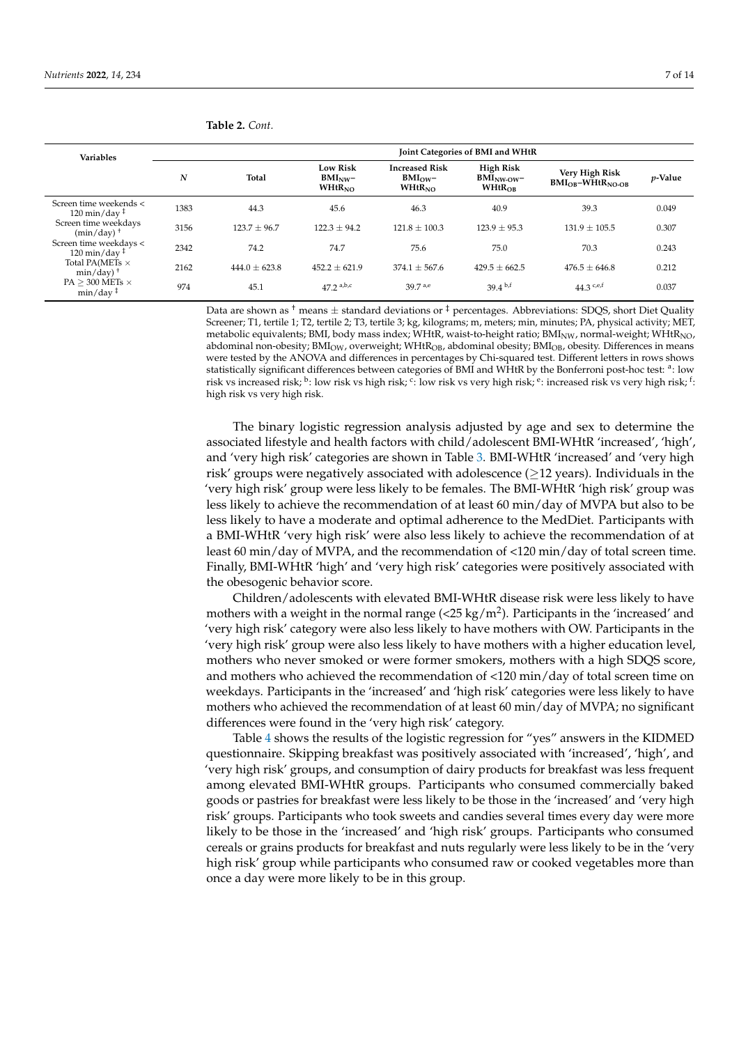| <b>Variables</b>                                                                        |      |                   |                                                     |                                                            | Joint Categories of BMI and WHtR                 |                                             |            |
|-----------------------------------------------------------------------------------------|------|-------------------|-----------------------------------------------------|------------------------------------------------------------|--------------------------------------------------|---------------------------------------------|------------|
|                                                                                         | N    | Total             | <b>Low Risk</b><br>$BMI_{NW}$<br>WHtR <sub>NO</sub> | <b>Increased Risk</b><br>$BMI_{\text{OW}}-$<br>$WHtR_{NO}$ | High Risk<br>$BMI_{NW-OW}$<br>WHtR <sub>OB</sub> | Very High Risk<br>$BMI_{OR} - WHtR_{NO-OR}$ | $p$ -Value |
| Screen time weekends <<br>$120 \text{ min}/\text{day}$ <sup><math>\ddagger</math></sup> | 1383 | 44.3              | 45.6                                                | 46.3                                                       | 40.9                                             | 39.3                                        | 0.049      |
| Screen time weekdays<br>$(min/day)$ <sup>+</sup>                                        | 3156 | $123.7 \pm 96.7$  | $122.3 + 94.2$                                      | $121.8 \pm 100.3$                                          | $123.9 \pm 95.3$                                 | $131.9 \pm 105.5$                           | 0.307      |
| Screen time weekdays <<br>$120 \text{ min}/\text{day}$ <sup>‡</sup>                     | 2342 | 74.2              | 74.7                                                | 75.6                                                       | 75.0                                             | 70.3                                        | 0.243      |
| Total PA(METs $\times$<br>$min/day)$ <sup>+</sup>                                       | 2162 | $444.0 \pm 623.8$ | $452.2 \pm 621.9$                                   | $374.1 \pm 567.6$                                          | $429.5 \pm 662.5$                                | $476.5 + 646.8$                             | 0.212      |
| PA $>$ 300 METs $\times$<br>$min/day$ <sup><math>\ddagger</math></sup>                  | 974  | 45.1              | $47.2$ a,b,c                                        | 39.7 a,e                                                   | $39.4^{b,f}$                                     | 44.3 $c,e,f$                                | 0.037      |

**Table 2.** *Cont.*

Data are shown as <sup>†</sup> means  $\pm$  standard deviations or  $\frac{1}{4}$  percentages. Abbreviations: SDQS, short Diet Quality Screener; T1, tertile 1; T2, tertile 2; T3, tertile 3; kg, kilograms; m, meters; min, minutes; PA, physical activity; MET, metabolic equivalents; BMI, body mass index; WHtR, waist-to-height ratio; BMI<sub>NW</sub>, normal-weight; WHtR<sub>NO</sub>, abdominal non-obesity; BMI<sub>OW</sub>, overweight; WHtR<sub>OB</sub>, abdominal obesity; BMI<sub>OB</sub>, obesity. Differences in means were tested by the ANOVA and differences in percentages by Chi-squared test. Different letters in rows shows statistically significant differences between categories of BMI and WHtR by the Bonferroni post-hoc test: <sup>a</sup>: low risk vs increased risk;  $^{\rm b}$ : low risk vs high risk;  $^{\rm c}$ : low risk vs very high risk;  $^{\rm e}$ : increased risk vs very high risk;  $^{\rm f}$ : high risk vs very high risk.

The binary logistic regression analysis adjusted by age and sex to determine the associated lifestyle and health factors with child/adolescent BMI-WHtR 'increased', 'high', and 'very high risk' categories are shown in Table [3.](#page-7-0) BMI-WHtR 'increased' and 'very high risk' groups were negatively associated with adolescence ( $\geq$ 12 years). Individuals in the 'very high risk' group were less likely to be females. The BMI-WHtR 'high risk' group was less likely to achieve the recommendation of at least 60 min/day of MVPA but also to be less likely to have a moderate and optimal adherence to the MedDiet. Participants with a BMI-WHtR 'very high risk' were also less likely to achieve the recommendation of at least 60 min/day of MVPA, and the recommendation of <120 min/day of total screen time. Finally, BMI-WHtR 'high' and 'very high risk' categories were positively associated with the obesogenic behavior score.

Children/adolescents with elevated BMI-WHtR disease risk were less likely to have mothers with a weight in the normal range (<25 kg/m<sup>2</sup>). Participants in the 'increased' and 'very high risk' category were also less likely to have mothers with OW. Participants in the 'very high risk' group were also less likely to have mothers with a higher education level, mothers who never smoked or were former smokers, mothers with a high SDQS score, and mothers who achieved the recommendation of <120 min/day of total screen time on weekdays. Participants in the 'increased' and 'high risk' categories were less likely to have mothers who achieved the recommendation of at least 60 min/day of MVPA; no significant differences were found in the 'very high risk' category.

Table [4](#page-8-0) shows the results of the logistic regression for "yes" answers in the KIDMED questionnaire. Skipping breakfast was positively associated with 'increased', 'high', and 'very high risk' groups, and consumption of dairy products for breakfast was less frequent among elevated BMI-WHtR groups. Participants who consumed commercially baked goods or pastries for breakfast were less likely to be those in the 'increased' and 'very high risk' groups. Participants who took sweets and candies several times every day were more likely to be those in the 'increased' and 'high risk' groups. Participants who consumed cereals or grains products for breakfast and nuts regularly were less likely to be in the 'very high risk' group while participants who consumed raw or cooked vegetables more than once a day were more likely to be in this group.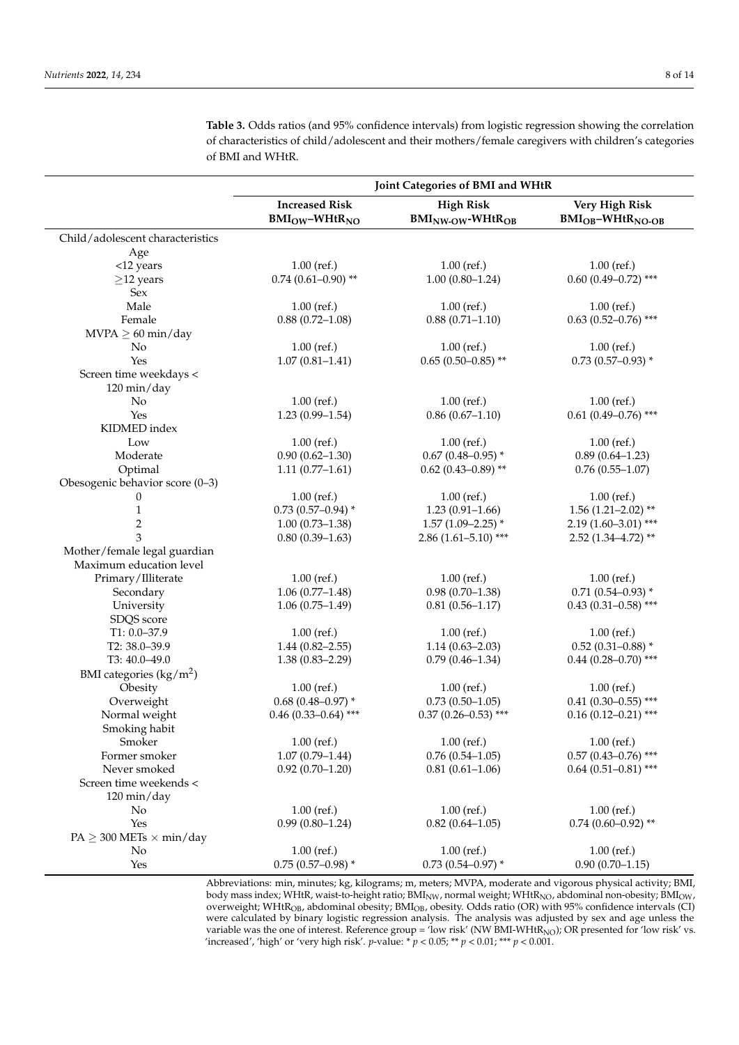|                                       | Joint Categories of BMI and WHtR             |                                                       |                                                     |  |  |
|---------------------------------------|----------------------------------------------|-------------------------------------------------------|-----------------------------------------------------|--|--|
|                                       | <b>Increased Risk</b><br>$BM_{OW}-WHtR_{NO}$ | <b>High Risk</b><br>$BMI_{NW-OW}$ -WHtR <sub>OB</sub> | Very High Risk<br>$BMI_{OB}$ -WHtR <sub>NO-OB</sub> |  |  |
| Child/adolescent characteristics      |                                              |                                                       |                                                     |  |  |
| Age                                   |                                              |                                                       |                                                     |  |  |
| <12 years                             | $1.00$ (ref.)                                | $1.00$ (ref.)                                         | $1.00$ (ref.)                                       |  |  |
| $\geq$ 12 years                       | $0.74$ (0.61-0.90) **                        | $1.00(0.80 - 1.24)$                                   | $0.60$ (0.49-0.72) ***                              |  |  |
| Sex                                   |                                              |                                                       |                                                     |  |  |
| Male                                  | $1.00$ (ref.)                                | $1.00$ (ref.)                                         | $1.00$ (ref.)                                       |  |  |
| Female                                | $0.88(0.72 - 1.08)$                          | $0.88(0.71 - 1.10)$                                   | $0.63(0.52 - 0.76)$ ***                             |  |  |
| $MVPA \geq 60$ min/day                |                                              |                                                       |                                                     |  |  |
| No                                    | $1.00$ (ref.)                                | $1.00$ (ref.)                                         | $1.00$ (ref.)                                       |  |  |
| Yes                                   | $1.07(0.81 - 1.41)$                          | $0.65(0.50-0.85)$ **                                  | $0.73$ (0.57-0.93) *                                |  |  |
| Screen time weekdays <<br>120 min/day |                                              |                                                       |                                                     |  |  |
| No                                    | $1.00$ (ref.)                                | $1.00$ (ref.)                                         | $1.00$ (ref.)                                       |  |  |
| Yes                                   | $1.23(0.99 - 1.54)$                          | $0.86(0.67-1.10)$                                     | $0.61(0.49 - 0.76)$ ***                             |  |  |
| KIDMED index                          |                                              |                                                       |                                                     |  |  |
| Low                                   | $1.00$ (ref.)                                | $1.00$ (ref.)                                         | $1.00$ (ref.)                                       |  |  |
| Moderate                              | $0.90(0.62 - 1.30)$                          | $0.67(0.48 - 0.95)$ *                                 | $0.89(0.64 - 1.23)$                                 |  |  |
| Optimal                               | $1.11(0.77-1.61)$                            | $0.62$ (0.43-0.89) <sup>**</sup>                      | $0.76(0.55-1.07)$                                   |  |  |
| Obesogenic behavior score (0-3)       |                                              |                                                       |                                                     |  |  |
| 0                                     | $1.00$ (ref.)                                | $1.00$ (ref.)                                         | $1.00$ (ref.)                                       |  |  |
| $\mathbf{1}$                          | $0.73(0.57-0.94)$ *                          | $1.23(0.91 - 1.66)$                                   | $1.56(1.21-2.02)$ **                                |  |  |
| $\overline{c}$                        | $1.00(0.73 - 1.38)$                          | $1.57(1.09 - 2.25)$ *                                 | $2.19(1.60-3.01)$ ***                               |  |  |
| 3                                     | $0.80(0.39-1.63)$                            | $2.86(1.61 - 5.10)$ ***                               | $2.52(1.34 - 4.72)$ **                              |  |  |
| Mother/female legal guardian          |                                              |                                                       |                                                     |  |  |
| Maximum education level               |                                              |                                                       |                                                     |  |  |
| Primary/Illiterate                    | $1.00$ (ref.)                                | $1.00$ (ref.)                                         | $1.00$ (ref.)                                       |  |  |
| Secondary                             | $1.06(0.77-1.48)$                            | $0.98(0.70-1.38)$                                     | $0.71(0.54 - 0.93)$ *                               |  |  |
| University                            | $1.06(0.75-1.49)$                            | $0.81(0.56 - 1.17)$                                   | $0.43(0.31 - 0.58)$ ***                             |  |  |
| SDQS score                            |                                              |                                                       |                                                     |  |  |
| $T1: 0.0 - 37.9$                      | $1.00$ (ref.)                                | $1.00$ (ref.)                                         | $1.00$ (ref.)                                       |  |  |
| T2: 38.0-39.9                         | $1.44(0.82 - 2.55)$                          | $1.14(0.63 - 2.03)$                                   | $0.52$ (0.31-0.88) *                                |  |  |
| T3: 40.0-49.0                         | $1.38(0.83 - 2.29)$                          | $0.79(0.46 - 1.34)$                                   | $0.44$ (0.28-0.70) ***                              |  |  |
| BMI categories $(kg/m2)$              |                                              |                                                       |                                                     |  |  |
| Obesity                               | $1.00$ (ref.)                                | $1.00$ (ref.)                                         | $1.00$ (ref.)                                       |  |  |
| Overweight                            | $0.68$ (0.48-0.97) *                         | $0.73(0.50-1.05)$                                     | $0.41(0.30-0.55)$ ***                               |  |  |
| Normal weight                         | $0.46$ (0.33-0.64) ***                       | $0.37(0.26 - 0.53)$ ***                               | $0.16(0.12-0.21)$ ***                               |  |  |
| Smoking habit                         |                                              |                                                       |                                                     |  |  |
| Smoker                                | $1.00$ (ref.)                                | $1.00$ (ref.)                                         | $1.00$ (ref.)                                       |  |  |
| Former smoker                         | $1.07(0.79 - 1.44)$                          | $0.76(0.54 - 1.05)$                                   | $0.57(0.43 - 0.76)$ ***                             |  |  |
| Never smoked                          | $0.92(0.70-1.20)$                            | $0.81(0.61 - 1.06)$                                   | $0.64$ (0.51-0.81) ***                              |  |  |
| Screen time weekends <                |                                              |                                                       |                                                     |  |  |
| 120 min/day                           |                                              |                                                       |                                                     |  |  |
| No                                    | $1.00$ (ref.)                                | $1.00$ (ref.)                                         | $1.00$ (ref.)                                       |  |  |
| Yes                                   | $0.99(0.80 - 1.24)$                          | $0.82(0.64 - 1.05)$                                   | $0.74(0.60 - 0.92)$ **                              |  |  |
| $PA \geq 300$ METs $\times$ min/day   |                                              |                                                       |                                                     |  |  |
| No                                    | $1.00$ (ref.)                                | $1.00$ (ref.)                                         | $1.00$ (ref.)                                       |  |  |
| Yes                                   | $0.75(0.57-0.98)$ *                          | $0.73(0.54 - 0.97)$ *                                 | $0.90(0.70-1.15)$                                   |  |  |
|                                       |                                              |                                                       |                                                     |  |  |

<span id="page-7-0"></span>**Table 3.** Odds ratios (and 95% confidence intervals) from logistic regression showing the correlation of characteristics of child/adolescent and their mothers/female caregivers with children's categories of BMI and WHtR.

Abbreviations: min, minutes; kg, kilograms; m, meters; MVPA, moderate and vigorous physical activity; BMI, body mass index; WHtR, waist-to-height ratio; BMI<sub>NW</sub>, normal weight; WHtR<sub>NO</sub>, abdominal non-obesity; BMI<sub>OW</sub>, overweight; WHtROB, abdominal obesity; BMIOB, obesity. Odds ratio (OR) with 95% confidence intervals (CI) were calculated by binary logistic regression analysis. The analysis was adjusted by sex and age unless the variable was the one of interest. Reference group = 'low risk' (NW BMI-WHtR<sub>NO</sub>); OR presented for 'low risk' vs. 'increased', 'high' or 'very high risk'. *p*-value: \* *p* < 0.05; \*\* *p* < 0.01; \*\*\* *p* < 0.001.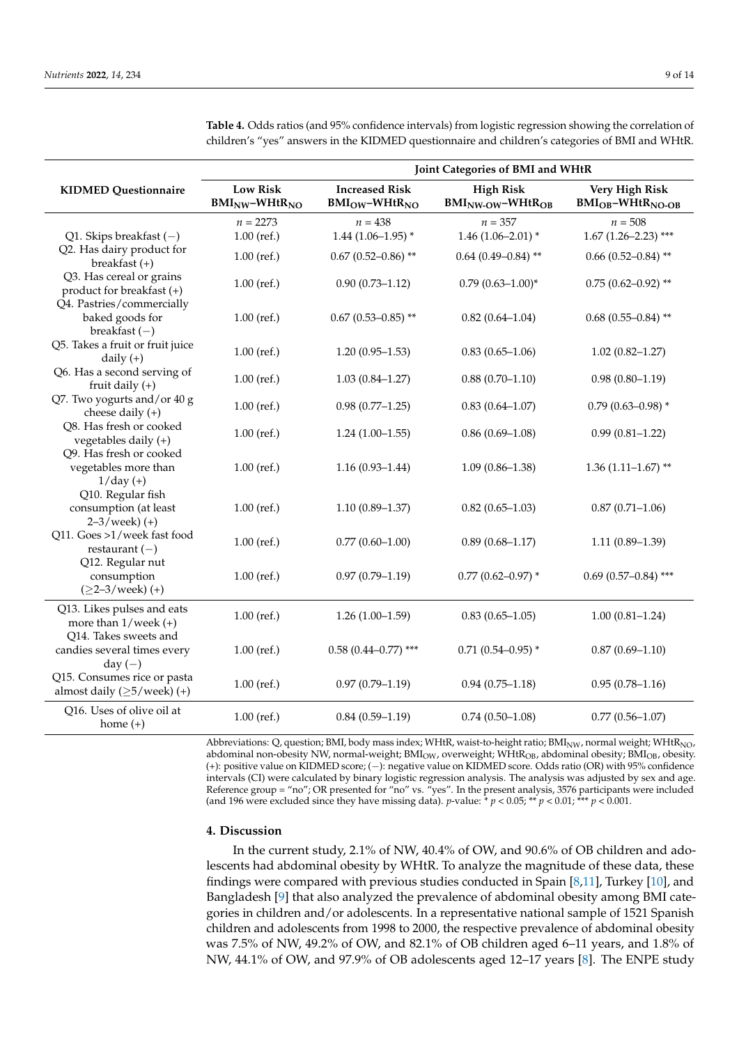|                                                                                    | Joint Categories of BMI and WHtR        |                                               |                                                              |                                                     |  |  |  |  |
|------------------------------------------------------------------------------------|-----------------------------------------|-----------------------------------------------|--------------------------------------------------------------|-----------------------------------------------------|--|--|--|--|
| <b>KIDMED Questionnaire</b>                                                        | <b>Low Risk</b><br>$BMI_{NW}-WHtR_{NO}$ | <b>Increased Risk</b><br>$BMI_{OW}-WHtR_{NO}$ | <b>High Risk</b><br>BMI <sub>NW-OW</sub> -WHtR <sub>OB</sub> | Very High Risk<br>$BMI_{OB}$ -WHtR <sub>NO-OB</sub> |  |  |  |  |
| Q1. Skips breakfast $(-)$                                                          | $n = 2273$<br>$1.00$ (ref.)             | $n = 438$<br>$1.44(1.06-1.95)$ *              | $n = 357$<br>$1.46(1.06 - 2.01)$ *                           | $n = 508$<br>$1.67(1.26-2.23)$ ***                  |  |  |  |  |
| Q2. Has dairy product for<br>breakfast $(+)$                                       | $1.00$ (ref.)                           | $0.67$ (0.52-0.86) **                         | $0.64$ (0.49-0.84) **                                        | $0.66$ (0.52-0.84) **                               |  |  |  |  |
| Q3. Has cereal or grains<br>product for breakfast (+)<br>Q4. Pastries/commercially | $1.00$ (ref.)                           | $0.90(0.73 - 1.12)$                           | $0.79(0.63 - 1.00)^*$                                        | $0.75(0.62 - 0.92)$ **                              |  |  |  |  |
| baked goods for<br>breakfast $(-)$                                                 | $1.00$ (ref.)                           | $0.67$ (0.53-0.85) **                         | $0.82(0.64 - 1.04)$                                          | $0.68$ (0.55-0.84) **                               |  |  |  |  |
| Q5. Takes a fruit or fruit juice<br>daily $(+)$                                    | $1.00$ (ref.)                           | $1.20(0.95-1.53)$                             | $0.83(0.65 - 1.06)$                                          | $1.02(0.82 - 1.27)$                                 |  |  |  |  |
| Q6. Has a second serving of<br>fruit daily $(+)$                                   | $1.00$ (ref.)                           | $1.03(0.84 - 1.27)$                           | $0.88(0.70-1.10)$                                            | $0.98(0.80 - 1.19)$                                 |  |  |  |  |
| Q7. Two yogurts and/or 40 g<br>cheese daily $(+)$                                  | $1.00$ (ref.)                           | $0.98(0.77-1.25)$                             | $0.83(0.64 - 1.07)$                                          | $0.79(0.63 - 0.98)$ *                               |  |  |  |  |
| Q8. Has fresh or cooked<br>vegetables daily $(+)$                                  | $1.00$ (ref.)                           | $1.24(1.00-1.55)$                             | $0.86(0.69-1.08)$                                            | $0.99(0.81 - 1.22)$                                 |  |  |  |  |
| Q9. Has fresh or cooked<br>vegetables more than<br>$1/day (+)$                     | $1.00$ (ref.)                           | $1.16(0.93 - 1.44)$                           | $1.09(0.86 - 1.38)$                                          | $1.36(1.11-1.67)$ **                                |  |  |  |  |
| Q10. Regular fish<br>consumption (at least<br>$2 - 3$ /week $) (+)$                | $1.00$ (ref.)                           | $1.10(0.89 - 1.37)$                           | $0.82(0.65 - 1.03)$                                          | $0.87(0.71 - 1.06)$                                 |  |  |  |  |
| Q11. Goes >1/week fast food<br>restaurant $(-)$                                    | $1.00$ (ref.)                           | $0.77(0.60 - 1.00)$                           | $0.89(0.68 - 1.17)$                                          | $1.11(0.89-1.39)$                                   |  |  |  |  |
| Q12. Regular nut<br>consumption<br>$(≥2-3/week) (+)$                               | $1.00$ (ref.)                           | $0.97(0.79 - 1.19)$                           | $0.77$ (0.62-0.97) *                                         | $0.69$ $(0.57 - 0.84)$ ***                          |  |  |  |  |
| Q13. Likes pulses and eats<br>more than $1$ /week (+)                              | $1.00$ (ref.)                           | $1.26(1.00-1.59)$                             | $0.83(0.65 - 1.05)$                                          | $1.00(0.81 - 1.24)$                                 |  |  |  |  |
| Q14. Takes sweets and<br>candies several times every<br>day $(-)$                  | $1.00$ (ref.)                           | $0.58$ (0.44-0.77) ***                        | $0.71(0.54 - 0.95)$ *                                        | $0.87(0.69 - 1.10)$                                 |  |  |  |  |
| Q15. Consumes rice or pasta<br>almost daily $(\geq 5$ /week) (+)                   | $1.00$ (ref.)                           | $0.97(0.79 - 1.19)$                           | $0.94(0.75 - 1.18)$                                          | $0.95(0.78 - 1.16)$                                 |  |  |  |  |
| Q16. Uses of olive oil at<br>home $(+)$                                            | $1.00$ (ref.)                           | $0.84(0.59-1.19)$                             | $0.74(0.50-1.08)$                                            | $0.77(0.56 - 1.07)$                                 |  |  |  |  |

<span id="page-8-0"></span>**Table 4.** Odds ratios (and 95% confidence intervals) from logistic regression showing the correlation of children's "yes" answers in the KIDMED questionnaire and children's categories of BMI and WHtR.

Abbreviations: Q, question; BMI, body mass index; WHtR, waist-to-height ratio; BMI<sub>NW</sub>, normal weight; WHtR<sub>NO</sub>, abdominal non-obesity NW, normal-weight; BMI<sub>OW</sub>, overweight; WHtR<sub>OB</sub>, abdominal obesity; BMI<sub>OB</sub>, obesity. (+): positive value on KIDMED score; (−): negative value on KIDMED score. Odds ratio (OR) with 95% confidence intervals (CI) were calculated by binary logistic regression analysis. The analysis was adjusted by sex and age. Reference group = "no"; OR presented for "no" vs. "yes". In the present analysis, 3576 participants were included (and 196 were excluded since they have missing data).  $p$ -value:  $* p < 0.05; ** p < 0.01; ** p < 0.001$ .

#### **4. Discussion**

In the current study, 2.1% of NW, 40.4% of OW, and 90.6% of OB children and adolescents had abdominal obesity by WHtR. To analyze the magnitude of these data, these findings were compared with previous studies conducted in Spain [\[8,](#page-12-3)[11\]](#page-12-4), Turkey [\[10\]](#page-12-23), and Bangladesh [\[9\]](#page-12-24) that also analyzed the prevalence of abdominal obesity among BMI categories in children and/or adolescents. In a representative national sample of 1521 Spanish children and adolescents from 1998 to 2000, the respective prevalence of abdominal obesity was 7.5% of NW, 49.2% of OW, and 82.1% of OB children aged 6–11 years, and 1.8% of NW, 44.1% of OW, and 97.9% of OB adolescents aged 12–17 years [\[8\]](#page-12-3). The ENPE study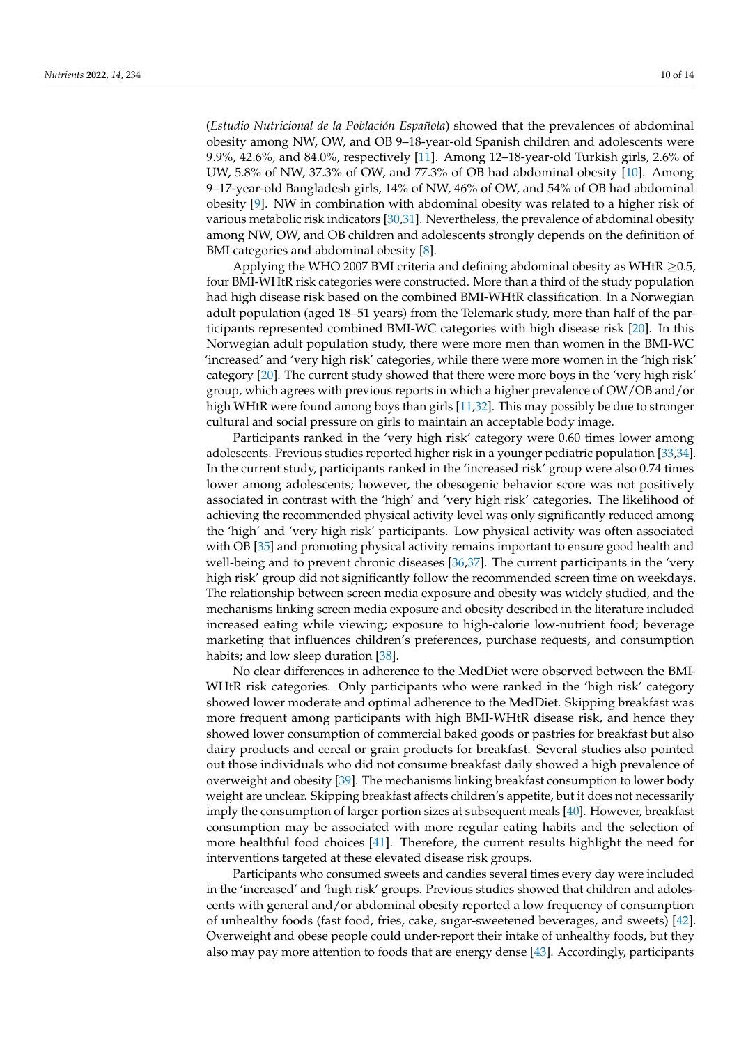(*Estudio Nutricional de la Población Española*) showed that the prevalences of abdominal obesity among NW, OW, and OB 9–18-year-old Spanish children and adolescents were 9.9%, 42.6%, and 84.0%, respectively [\[11\]](#page-12-4). Among 12–18-year-old Turkish girls, 2.6% of UW, 5.8% of NW, 37.3% of OW, and 77.3% of OB had abdominal obesity [\[10\]](#page-12-23). Among 9–17-year-old Bangladesh girls, 14% of NW, 46% of OW, and 54% of OB had abdominal obesity [\[9\]](#page-12-24). NW in combination with abdominal obesity was related to a higher risk of various metabolic risk indicators [\[30,](#page-13-0)[31\]](#page-13-1). Nevertheless, the prevalence of abdominal obesity among NW, OW, and OB children and adolescents strongly depends on the definition of BMI categories and abdominal obesity [\[8\]](#page-12-3).

Applying the WHO 2007 BMI criteria and defining abdominal obesity as WHtR  $\geq$ 0.5, four BMI-WHtR risk categories were constructed. More than a third of the study population had high disease risk based on the combined BMI-WHtR classification. In a Norwegian adult population (aged 18–51 years) from the Telemark study, more than half of the participants represented combined BMI-WC categories with high disease risk [\[20\]](#page-12-13). In this Norwegian adult population study, there were more men than women in the BMI-WC 'increased' and 'very high risk' categories, while there were more women in the 'high risk' category [\[20\]](#page-12-13). The current study showed that there were more boys in the 'very high risk' group, which agrees with previous reports in which a higher prevalence of OW/OB and/or high WHtR were found among boys than girls [\[11,](#page-12-4)[32\]](#page-13-2). This may possibly be due to stronger cultural and social pressure on girls to maintain an acceptable body image.

Participants ranked in the 'very high risk' category were 0.60 times lower among adolescents. Previous studies reported higher risk in a younger pediatric population [\[33](#page-13-3)[,34\]](#page-13-4). In the current study, participants ranked in the 'increased risk' group were also 0.74 times lower among adolescents; however, the obesogenic behavior score was not positively associated in contrast with the 'high' and 'very high risk' categories. The likelihood of achieving the recommended physical activity level was only significantly reduced among the 'high' and 'very high risk' participants. Low physical activity was often associated with OB [\[35\]](#page-13-5) and promoting physical activity remains important to ensure good health and well-being and to prevent chronic diseases [\[36](#page-13-6)[,37\]](#page-13-7). The current participants in the 'very high risk' group did not significantly follow the recommended screen time on weekdays. The relationship between screen media exposure and obesity was widely studied, and the mechanisms linking screen media exposure and obesity described in the literature included increased eating while viewing; exposure to high-calorie low-nutrient food; beverage marketing that influences children's preferences, purchase requests, and consumption habits; and low sleep duration [\[38\]](#page-13-8).

No clear differences in adherence to the MedDiet were observed between the BMI-WHtR risk categories. Only participants who were ranked in the 'high risk' category showed lower moderate and optimal adherence to the MedDiet. Skipping breakfast was more frequent among participants with high BMI-WHtR disease risk, and hence they showed lower consumption of commercial baked goods or pastries for breakfast but also dairy products and cereal or grain products for breakfast. Several studies also pointed out those individuals who did not consume breakfast daily showed a high prevalence of overweight and obesity [\[39\]](#page-13-9). The mechanisms linking breakfast consumption to lower body weight are unclear. Skipping breakfast affects children's appetite, but it does not necessarily imply the consumption of larger portion sizes at subsequent meals [\[40\]](#page-13-10). However, breakfast consumption may be associated with more regular eating habits and the selection of more healthful food choices [\[41\]](#page-13-11). Therefore, the current results highlight the need for interventions targeted at these elevated disease risk groups.

Participants who consumed sweets and candies several times every day were included in the 'increased' and 'high risk' groups. Previous studies showed that children and adolescents with general and/or abdominal obesity reported a low frequency of consumption of unhealthy foods (fast food, fries, cake, sugar-sweetened beverages, and sweets) [\[42\]](#page-13-12). Overweight and obese people could under-report their intake of unhealthy foods, but they also may pay more attention to foods that are energy dense [\[43\]](#page-13-13). Accordingly, participants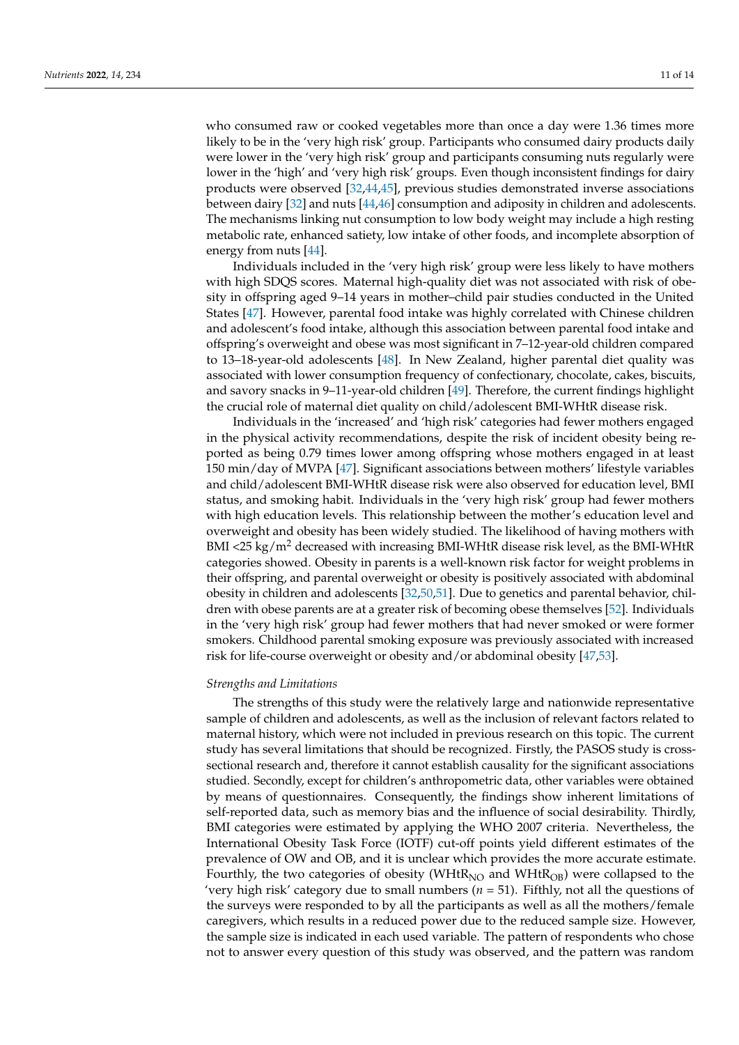who consumed raw or cooked vegetables more than once a day were 1.36 times more likely to be in the 'very high risk' group. Participants who consumed dairy products daily were lower in the 'very high risk' group and participants consuming nuts regularly were lower in the 'high' and 'very high risk' groups. Even though inconsistent findings for dairy products were observed [\[32](#page-13-2)[,44](#page-13-14)[,45\]](#page-13-15), previous studies demonstrated inverse associations between dairy [\[32\]](#page-13-2) and nuts [\[44](#page-13-14)[,46\]](#page-13-16) consumption and adiposity in children and adolescents. The mechanisms linking nut consumption to low body weight may include a high resting metabolic rate, enhanced satiety, low intake of other foods, and incomplete absorption of energy from nuts [\[44\]](#page-13-14).

Individuals included in the 'very high risk' group were less likely to have mothers with high SDQS scores. Maternal high-quality diet was not associated with risk of obesity in offspring aged 9–14 years in mother–child pair studies conducted in the United States [\[47\]](#page-13-17). However, parental food intake was highly correlated with Chinese children and adolescent's food intake, although this association between parental food intake and offspring's overweight and obese was most significant in 7–12-year-old children compared to 13–18-year-old adolescents [\[48\]](#page-13-18). In New Zealand, higher parental diet quality was associated with lower consumption frequency of confectionary, chocolate, cakes, biscuits, and savory snacks in 9–11-year-old children [\[49\]](#page-13-19). Therefore, the current findings highlight the crucial role of maternal diet quality on child/adolescent BMI-WHtR disease risk.

Individuals in the 'increased' and 'high risk' categories had fewer mothers engaged in the physical activity recommendations, despite the risk of incident obesity being reported as being 0.79 times lower among offspring whose mothers engaged in at least 150 min/day of MVPA [\[47\]](#page-13-17). Significant associations between mothers' lifestyle variables and child/adolescent BMI-WHtR disease risk were also observed for education level, BMI status, and smoking habit. Individuals in the 'very high risk' group had fewer mothers with high education levels. This relationship between the mother's education level and overweight and obesity has been widely studied. The likelihood of having mothers with BMI <25 kg/m<sup>2</sup> decreased with increasing BMI-WHtR disease risk level, as the BMI-WHtR categories showed. Obesity in parents is a well-known risk factor for weight problems in their offspring, and parental overweight or obesity is positively associated with abdominal obesity in children and adolescents [\[32](#page-13-2)[,50](#page-13-20)[,51\]](#page-13-21). Due to genetics and parental behavior, children with obese parents are at a greater risk of becoming obese themselves [\[52\]](#page-13-22). Individuals in the 'very high risk' group had fewer mothers that had never smoked or were former smokers. Childhood parental smoking exposure was previously associated with increased risk for life-course overweight or obesity and/or abdominal obesity [\[47,](#page-13-17)[53\]](#page-13-23).

### *Strengths and Limitations*

The strengths of this study were the relatively large and nationwide representative sample of children and adolescents, as well as the inclusion of relevant factors related to maternal history, which were not included in previous research on this topic. The current study has several limitations that should be recognized. Firstly, the PASOS study is crosssectional research and, therefore it cannot establish causality for the significant associations studied. Secondly, except for children's anthropometric data, other variables were obtained by means of questionnaires. Consequently, the findings show inherent limitations of self-reported data, such as memory bias and the influence of social desirability. Thirdly, BMI categories were estimated by applying the WHO 2007 criteria. Nevertheless, the International Obesity Task Force (IOTF) cut-off points yield different estimates of the prevalence of OW and OB, and it is unclear which provides the more accurate estimate. Fourthly, the two categories of obesity (WHtR $_{NO}$  and WHtR $_{OB}$ ) were collapsed to the 'very high risk' category due to small numbers (*n* = 51). Fifthly, not all the questions of the surveys were responded to by all the participants as well as all the mothers/female caregivers, which results in a reduced power due to the reduced sample size. However, the sample size is indicated in each used variable. The pattern of respondents who chose not to answer every question of this study was observed, and the pattern was random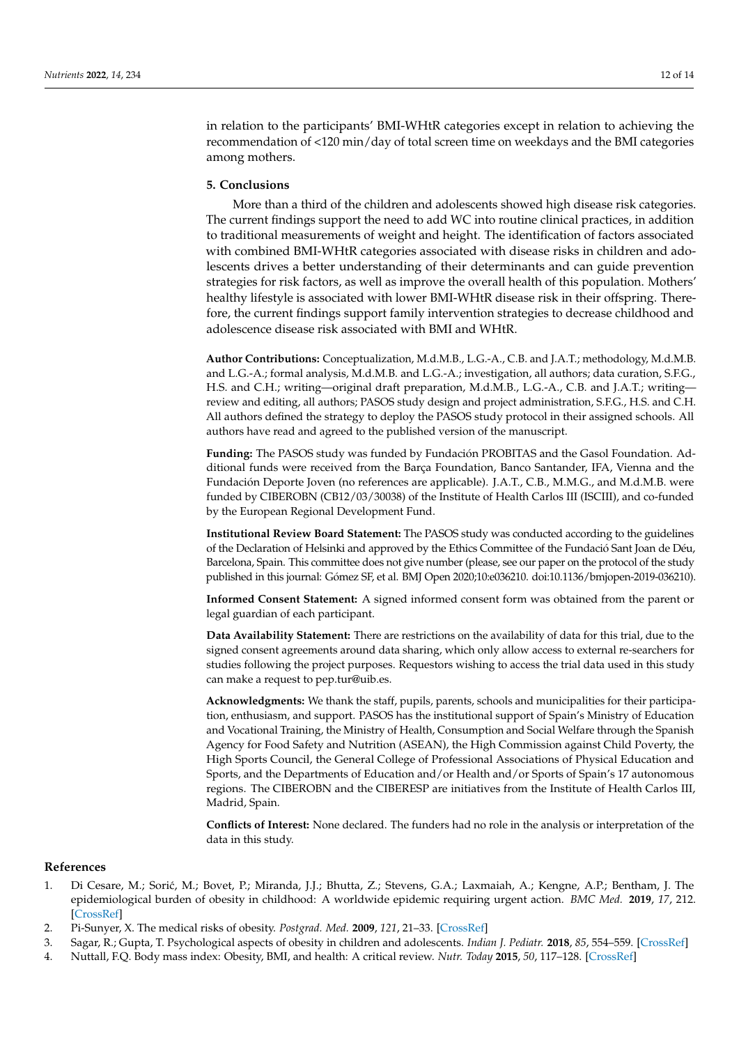in relation to the participants' BMI-WHtR categories except in relation to achieving the recommendation of <120 min/day of total screen time on weekdays and the BMI categories among mothers.

# **5. Conclusions**

More than a third of the children and adolescents showed high disease risk categories. The current findings support the need to add WC into routine clinical practices, in addition to traditional measurements of weight and height. The identification of factors associated with combined BMI-WHtR categories associated with disease risks in children and adolescents drives a better understanding of their determinants and can guide prevention strategies for risk factors, as well as improve the overall health of this population. Mothers' healthy lifestyle is associated with lower BMI-WHtR disease risk in their offspring. Therefore, the current findings support family intervention strategies to decrease childhood and adolescence disease risk associated with BMI and WHtR.

**Author Contributions:** Conceptualization, M.d.M.B., L.G.-A., C.B. and J.A.T.; methodology, M.d.M.B. and L.G.-A.; formal analysis, M.d.M.B. and L.G.-A.; investigation, all authors; data curation, S.F.G., H.S. and C.H.; writing—original draft preparation, M.d.M.B., L.G.-A., C.B. and J.A.T.; writing review and editing, all authors; PASOS study design and project administration, S.F.G., H.S. and C.H. All authors defined the strategy to deploy the PASOS study protocol in their assigned schools. All authors have read and agreed to the published version of the manuscript.

**Funding:** The PASOS study was funded by Fundación PROBITAS and the Gasol Foundation. Additional funds were received from the Barça Foundation, Banco Santander, IFA, Vienna and the Fundación Deporte Joven (no references are applicable). J.A.T., C.B., M.M.G., and M.d.M.B. were funded by CIBEROBN (CB12/03/30038) of the Institute of Health Carlos III (ISCIII), and co-funded by the European Regional Development Fund.

**Institutional Review Board Statement:** The PASOS study was conducted according to the guidelines of the Declaration of Helsinki and approved by the Ethics Committee of the Fundació Sant Joan de Déu, Barcelona, Spain. This committee does not give number (please, see our paper on the protocol of the study published in this journal: Gómez SF, et al. BMJ Open 2020;10:e036210. doi:10.1136/bmjopen-2019-036210).

**Informed Consent Statement:** A signed informed consent form was obtained from the parent or legal guardian of each participant.

**Data Availability Statement:** There are restrictions on the availability of data for this trial, due to the signed consent agreements around data sharing, which only allow access to external re-searchers for studies following the project purposes. Requestors wishing to access the trial data used in this study can make a request to pep.tur@uib.es.

**Acknowledgments:** We thank the staff, pupils, parents, schools and municipalities for their participation, enthusiasm, and support. PASOS has the institutional support of Spain's Ministry of Education and Vocational Training, the Ministry of Health, Consumption and Social Welfare through the Spanish Agency for Food Safety and Nutrition (ASEAN), the High Commission against Child Poverty, the High Sports Council, the General College of Professional Associations of Physical Education and Sports, and the Departments of Education and/or Health and/or Sports of Spain's 17 autonomous regions. The CIBEROBN and the CIBERESP are initiatives from the Institute of Health Carlos III, Madrid, Spain.

**Conflicts of Interest:** None declared. The funders had no role in the analysis or interpretation of the data in this study.

## **References**

- <span id="page-11-0"></span>1. Di Cesare, M.; Sorić, M.; Bovet, P.; Miranda, J.J.; Bhutta, Z.; Stevens, G.A.; Laxmaiah, A.; Kengne, A.P.; Bentham, J. The epidemiological burden of obesity in childhood: A worldwide epidemic requiring urgent action. *BMC Med.* **2019**, *17*, 212. [\[CrossRef\]](http://doi.org/10.1186/s12916-019-1449-8)
- <span id="page-11-1"></span>2. Pi-Sunyer, X. The medical risks of obesity. *Postgrad. Med.* **2009**, *121*, 21–33. [\[CrossRef\]](http://doi.org/10.3810/pgm.2009.11.2074)
- <span id="page-11-2"></span>3. Sagar, R.; Gupta, T. Psychological aspects of obesity in children and adolescents. *Indian J. Pediatr.* **2018**, *85*, 554–559. [\[CrossRef\]](http://doi.org/10.1007/s12098-017-2539-2)
- <span id="page-11-3"></span>4. Nuttall, F.Q. Body mass index: Obesity, BMI, and health: A critical review. *Nutr. Today* **2015**, *50*, 117–128. [\[CrossRef\]](http://doi.org/10.1097/NT.0000000000000092)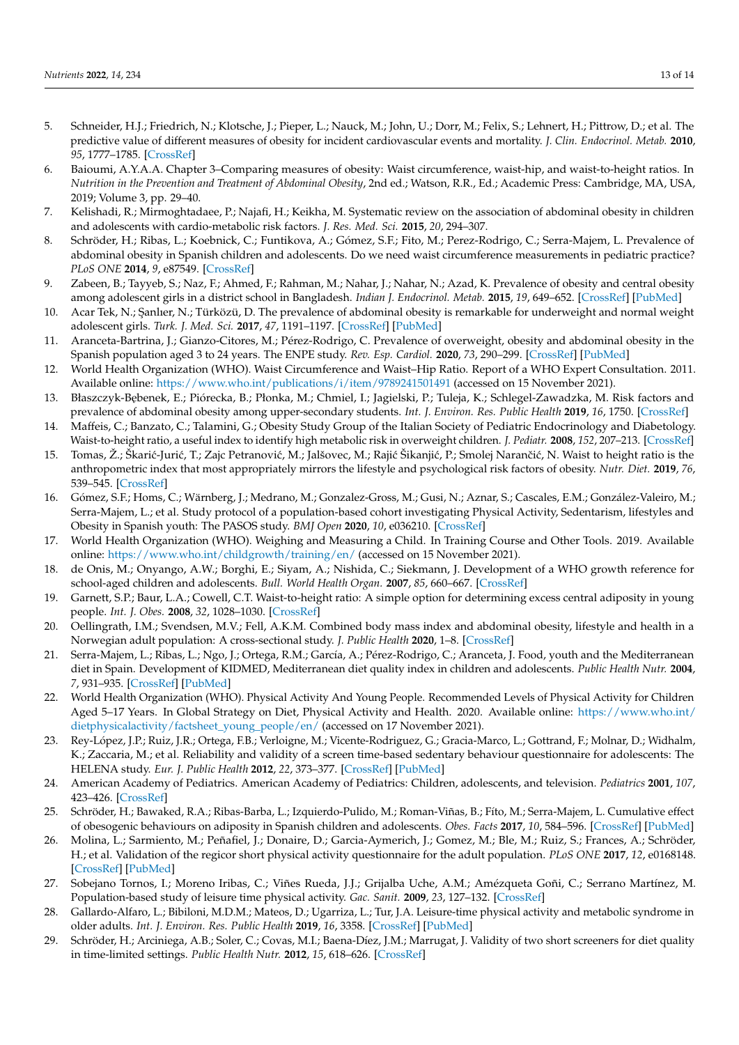- <span id="page-12-0"></span>5. Schneider, H.J.; Friedrich, N.; Klotsche, J.; Pieper, L.; Nauck, M.; John, U.; Dorr, M.; Felix, S.; Lehnert, H.; Pittrow, D.; et al. The predictive value of different measures of obesity for incident cardiovascular events and mortality. *J. Clin. Endocrinol. Metab.* **2010**, *95*, 1777–1785. [\[CrossRef\]](http://doi.org/10.1210/jc.2009-1584)
- <span id="page-12-1"></span>6. Baioumi, A.Y.A.A. Chapter 3–Comparing measures of obesity: Waist circumference, waist-hip, and waist-to-height ratios. In *Nutrition in the Prevention and Treatment of Abdominal Obesity*, 2nd ed.; Watson, R.R., Ed.; Academic Press: Cambridge, MA, USA, 2019; Volume 3, pp. 29–40.
- <span id="page-12-2"></span>7. Kelishadi, R.; Mirmoghtadaee, P.; Najafi, H.; Keikha, M. Systematic review on the association of abdominal obesity in children and adolescents with cardio-metabolic risk factors. *J. Res. Med. Sci.* **2015**, *20*, 294–307.
- <span id="page-12-3"></span>8. Schröder, H.; Ribas, L.; Koebnick, C.; Funtikova, A.; Gómez, S.F.; Fito, M.; Perez-Rodrigo, C.; Serra-Majem, L. Prevalence of abdominal obesity in Spanish children and adolescents. Do we need waist circumference measurements in pediatric practice? *PLoS ONE* **2014**, *9*, e87549. [\[CrossRef\]](http://doi.org/10.1371/journal.pone.0087549)
- <span id="page-12-24"></span>9. Zabeen, B.; Tayyeb, S.; Naz, F.; Ahmed, F.; Rahman, M.; Nahar, J.; Nahar, N.; Azad, K. Prevalence of obesity and central obesity among adolescent girls in a district school in Bangladesh. *Indian J. Endocrinol. Metab.* **2015**, *19*, 649–652. [\[CrossRef\]](http://doi.org/10.4103/2230-8210.163193) [\[PubMed\]](http://www.ncbi.nlm.nih.gov/pubmed/26425476)
- <span id="page-12-23"></span>10. Acar Tek, N.; Şanlıer, N.; Türközü, D. The prevalence of abdominal obesity is remarkable for underweight and normal weight adolescent girls. *Turk. J. Med. Sci.* **2017**, *47*, 1191–1197. [\[CrossRef\]](http://doi.org/10.3906/sag-1605-60) [\[PubMed\]](http://www.ncbi.nlm.nih.gov/pubmed/29156862)
- <span id="page-12-4"></span>11. Aranceta-Bartrina, J.; Gianzo-Citores, M.; Pérez-Rodrigo, C. Prevalence of overweight, obesity and abdominal obesity in the Spanish population aged 3 to 24 years. The ENPE study. *Rev. Esp. Cardiol.* **2020**, *73*, 290–299. [\[CrossRef\]](http://doi.org/10.1016/j.recesp.2019.07.011) [\[PubMed\]](http://www.ncbi.nlm.nih.gov/pubmed/31987815)
- <span id="page-12-5"></span>12. World Health Organization (WHO). Waist Circumference and Waist–Hip Ratio. Report of a WHO Expert Consultation. 2011. Available online: <https://www.who.int/publications/i/item/9789241501491> (accessed on 15 November 2021).
- <span id="page-12-6"></span>13. Błaszczyk-Bębenek, E.; Piórecka, B.; Płonka, M.; Chmiel, I.; Jagielski, P.; Tuleja, K.; Schlegel-Zawadzka, M. Risk factors and prevalence of abdominal obesity among upper-secondary students. *Int. J. Environ. Res. Public Health* **2019**, *16*, 1750. [\[CrossRef\]](http://doi.org/10.3390/ijerph16101750)
- <span id="page-12-7"></span>14. Maffeis, C.; Banzato, C.; Talamini, G.; Obesity Study Group of the Italian Society of Pediatric Endocrinology and Diabetology. Waist-to-height ratio, a useful index to identify high metabolic risk in overweight children. *J. Pediatr.* **2008**, *152*, 207–213. [\[CrossRef\]](http://doi.org/10.1016/j.jpeds.2007.09.021)
- <span id="page-12-8"></span>15. Tomas, Ž.; Škarić-Jurić, T.; Zajc Petranović, M.; Jalšovec, M.; Rajić Šikanjić, P.; Smolej Narančić, N. Waist to height ratio is the anthropometric index that most appropriately mirrors the lifestyle and psychological risk factors of obesity. *Nutr. Diet.* **2019**, *76*, 539–545. [\[CrossRef\]](http://doi.org/10.1111/1747-0080.12520)
- <span id="page-12-9"></span>16. Gómez, S.F.; Homs, C.; Wärnberg, J.; Medrano, M.; Gonzalez-Gross, M.; Gusi, N.; Aznar, S.; Cascales, E.M.; González-Valeiro, M.; Serra-Majem, L.; et al. Study protocol of a population-based cohort investigating Physical Activity, Sedentarism, lifestyles and Obesity in Spanish youth: The PASOS study. *BMJ Open* **2020**, *10*, e036210. [\[CrossRef\]](http://doi.org/10.1136/bmjopen-2019-036210)
- <span id="page-12-10"></span>17. World Health Organization (WHO). Weighing and Measuring a Child. In Training Course and Other Tools. 2019. Available online: <https://www.who.int/childgrowth/training/en/> (accessed on 15 November 2021).
- <span id="page-12-11"></span>18. de Onis, M.; Onyango, A.W.; Borghi, E.; Siyam, A.; Nishida, C.; Siekmann, J. Development of a WHO growth reference for school-aged children and adolescents. *Bull. World Health Organ.* **2007**, *85*, 660–667. [\[CrossRef\]](http://doi.org/10.2471/BLT.07.043497)
- <span id="page-12-12"></span>19. Garnett, S.P.; Baur, L.A.; Cowell, C.T. Waist-to-height ratio: A simple option for determining excess central adiposity in young people. *Int. J. Obes.* **2008**, *32*, 1028–1030. [\[CrossRef\]](http://doi.org/10.1038/ijo.2008.51)
- <span id="page-12-13"></span>20. Oellingrath, I.M.; Svendsen, M.V.; Fell, A.K.M. Combined body mass index and abdominal obesity, lifestyle and health in a Norwegian adult population: A cross-sectional study. *J. Public Health* **2020**, 1–8. [\[CrossRef\]](http://doi.org/10.1007/s10389-020-01259-2)
- <span id="page-12-14"></span>21. Serra-Majem, L.; Ribas, L.; Ngo, J.; Ortega, R.M.; García, A.; Pérez-Rodrigo, C.; Aranceta, J. Food, youth and the Mediterranean diet in Spain. Development of KIDMED, Mediterranean diet quality index in children and adolescents. *Public Health Nutr.* **2004**, *7*, 931–935. [\[CrossRef\]](http://doi.org/10.1079/PHN2004556) [\[PubMed\]](http://www.ncbi.nlm.nih.gov/pubmed/15482620)
- <span id="page-12-15"></span>22. World Health Organization (WHO). Physical Activity And Young People. Recommended Levels of Physical Activity for Children Aged 5–17 Years. In Global Strategy on Diet, Physical Activity and Health. 2020. Available online: [https://www.who.int/](https://www.who.int/dietphysicalactivity/factsheet_young_people/en/) [dietphysicalactivity/factsheet\\_young\\_people/en/](https://www.who.int/dietphysicalactivity/factsheet_young_people/en/) (accessed on 17 November 2021).
- <span id="page-12-16"></span>23. Rey-López, J.P.; Ruiz, J.R.; Ortega, F.B.; Verloigne, M.; Vicente-Rodriguez, G.; Gracia-Marco, L.; Gottrand, F.; Molnar, D.; Widhalm, K.; Zaccaria, M.; et al. Reliability and validity of a screen time-based sedentary behaviour questionnaire for adolescents: The HELENA study. *Eur. J. Public Health* **2012**, *22*, 373–377. [\[CrossRef\]](http://doi.org/10.1093/eurpub/ckr040) [\[PubMed\]](http://www.ncbi.nlm.nih.gov/pubmed/21498560)
- <span id="page-12-17"></span>24. American Academy of Pediatrics. American Academy of Pediatrics: Children, adolescents, and television. *Pediatrics* **2001**, *107*, 423–426. [\[CrossRef\]](http://doi.org/10.1542/peds.107.2.423)
- <span id="page-12-18"></span>25. Schröder, H.; Bawaked, R.A.; Ribas-Barba, L.; Izquierdo-Pulido, M.; Roman-Viñas, B.; Fíto, M.; Serra-Majem, L. Cumulative effect of obesogenic behaviours on adiposity in Spanish children and adolescents. *Obes. Facts* **2017**, *10*, 584–596. [\[CrossRef\]](http://doi.org/10.1159/000480403) [\[PubMed\]](http://www.ncbi.nlm.nih.gov/pubmed/29207394)
- <span id="page-12-19"></span>26. Molina, L.; Sarmiento, M.; Peñafiel, J.; Donaire, D.; Garcia-Aymerich, J.; Gomez, M.; Ble, M.; Ruiz, S.; Frances, A.; Schröder, H.; et al. Validation of the regicor short physical activity questionnaire for the adult population. *PLoS ONE* **2017**, *12*, e0168148. [\[CrossRef\]](http://doi.org/10.1371/journal.pone.0168148) [\[PubMed\]](http://www.ncbi.nlm.nih.gov/pubmed/28085886)
- <span id="page-12-20"></span>27. Sobejano Tornos, I.; Moreno Iribas, C.; Viñes Rueda, J.J.; Grijalba Uche, A.M.; Amézqueta Goñi, C.; Serrano Martínez, M. Population-based study of leisure time physical activity. *Gac. Sanit.* **2009**, *23*, 127–132. [\[CrossRef\]](http://doi.org/10.1016/j.gaceta.2008.04.007)
- <span id="page-12-21"></span>28. Gallardo-Alfaro, L.; Bibiloni, M.D.M.; Mateos, D.; Ugarriza, L.; Tur, J.A. Leisure-time physical activity and metabolic syndrome in older adults. *Int. J. Environ. Res. Public Health* **2019**, *16*, 3358. [\[CrossRef\]](http://doi.org/10.3390/ijerph16183358) [\[PubMed\]](http://www.ncbi.nlm.nih.gov/pubmed/31514471)
- <span id="page-12-22"></span>29. Schröder, H.; Arciniega, A.B.; Soler, C.; Covas, M.I.; Baena-Díez, J.M.; Marrugat, J. Validity of two short screeners for diet quality in time-limited settings. *Public Health Nutr.* **2012**, *15*, 618–626. [\[CrossRef\]](http://doi.org/10.1017/S1368980011001923)